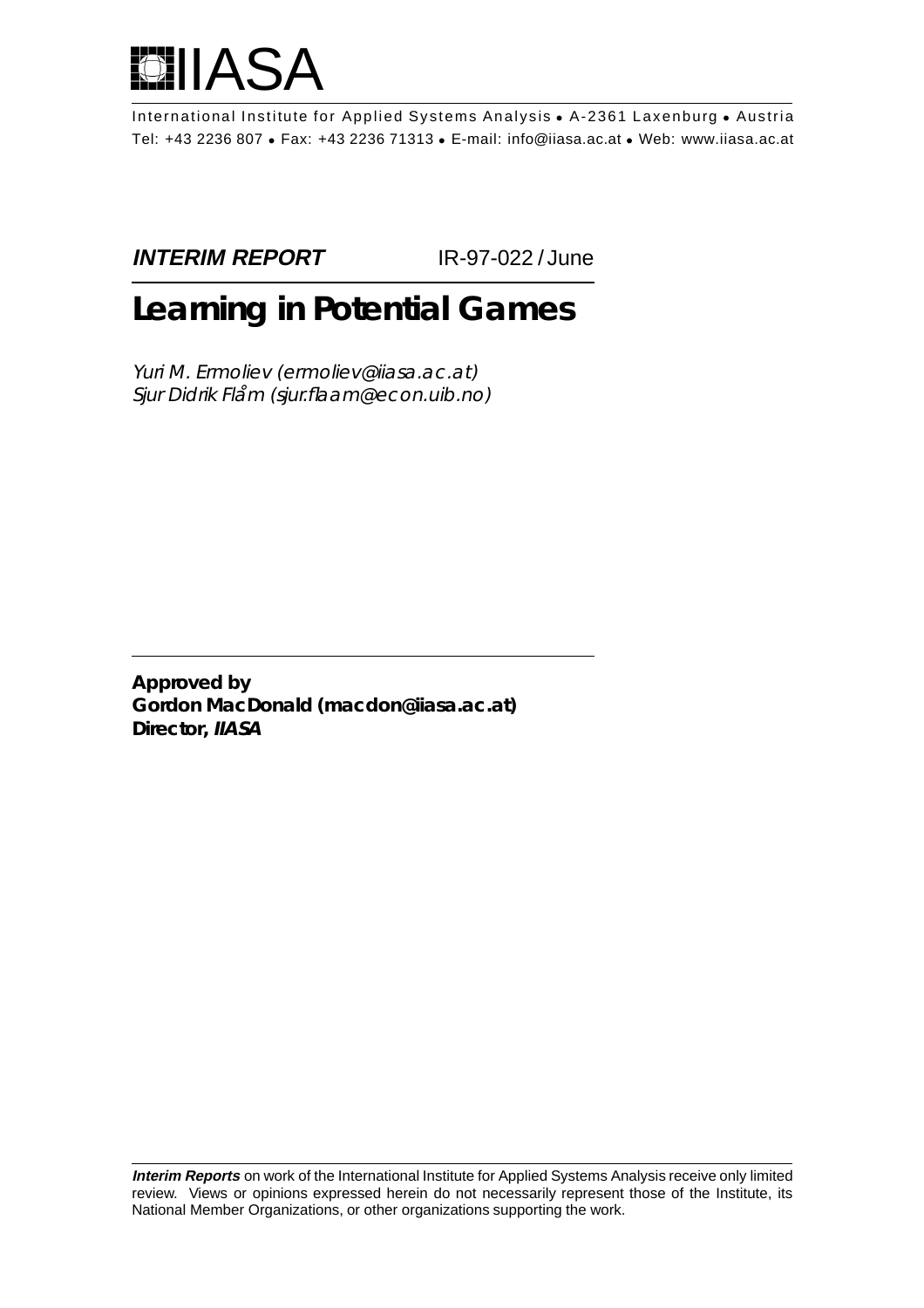

International Institute for Applied Systems Analysis • A-2361 Laxenburg • Austria Tel: +43 2236 807 • Fax: +43 2236 71313 • E-mail: info@iiasa.ac.at • Web: www.iiasa.ac.at

**INTERIM REPORT IR-97-022 / June** 

# **Learning in Potential Games**

Yuri M. Ermoliev (ermoliev@iiasa.ac.at) Sjur Didrik Flåm (sjur.flaam@econ.uib.no)

**Approved by Gordon MacDonald (macdon@iiasa.ac.at) Director, IIASA**

**Interim Reports** on work of the International Institute for Applied Systems Analysis receive only limited review. Views or opinions expressed herein do not necessarily represent those of the Institute, its National Member Organizations, or other organizations supporting the work.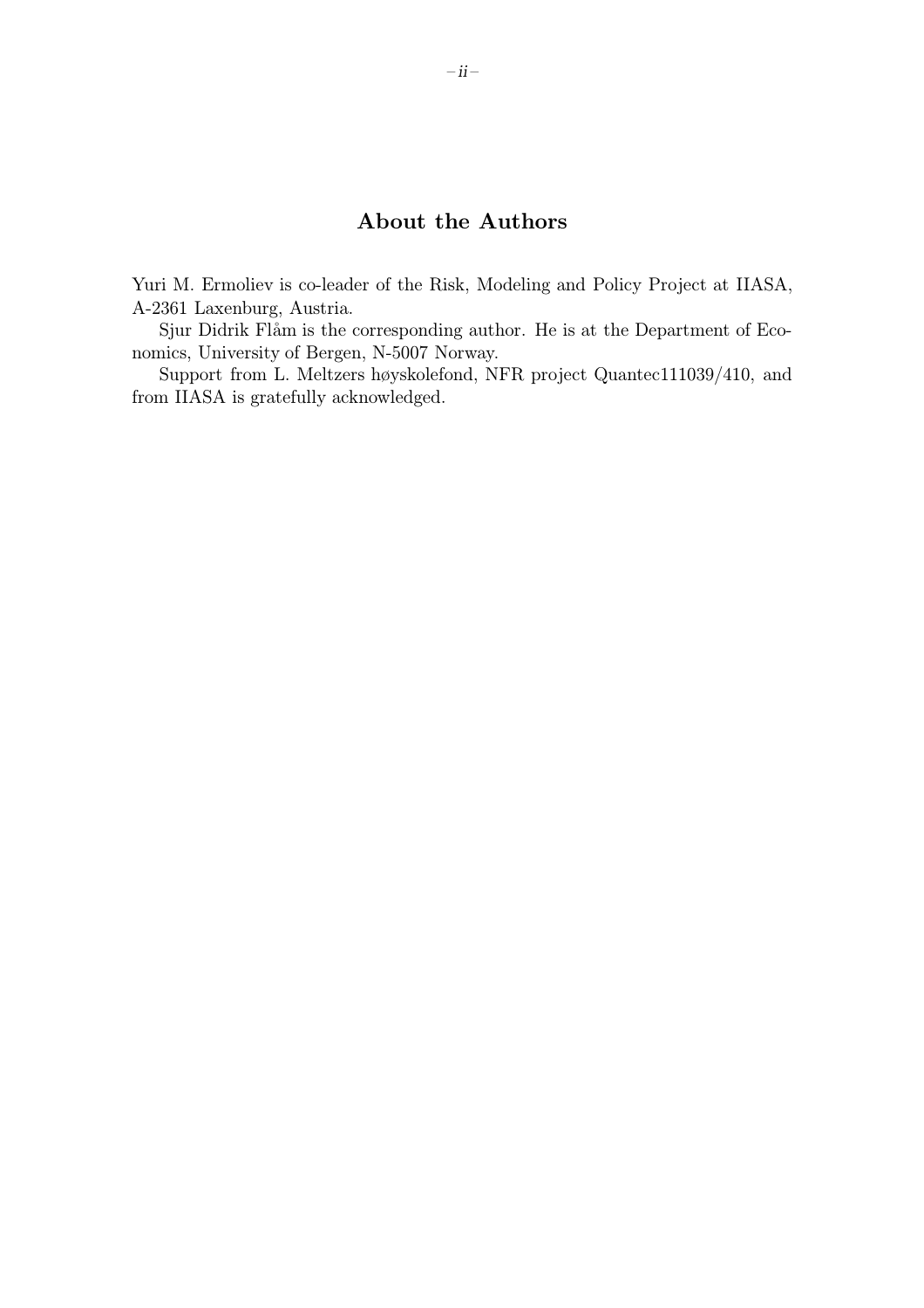### About the Authors

Yuri M. Ermoliev is co-leader of the Risk, Modeling and Policy Project at IIASA, A-2361 Laxenburg, Austria.

Sjur Didrik Flåm is the corresponding author. He is at the Department of Economics, University of Bergen, N-5007 Norway.

Support from L. Meltzers høyskolefond, NFR project Quantec111039/410, and from IIASA is gratefully acknowledged.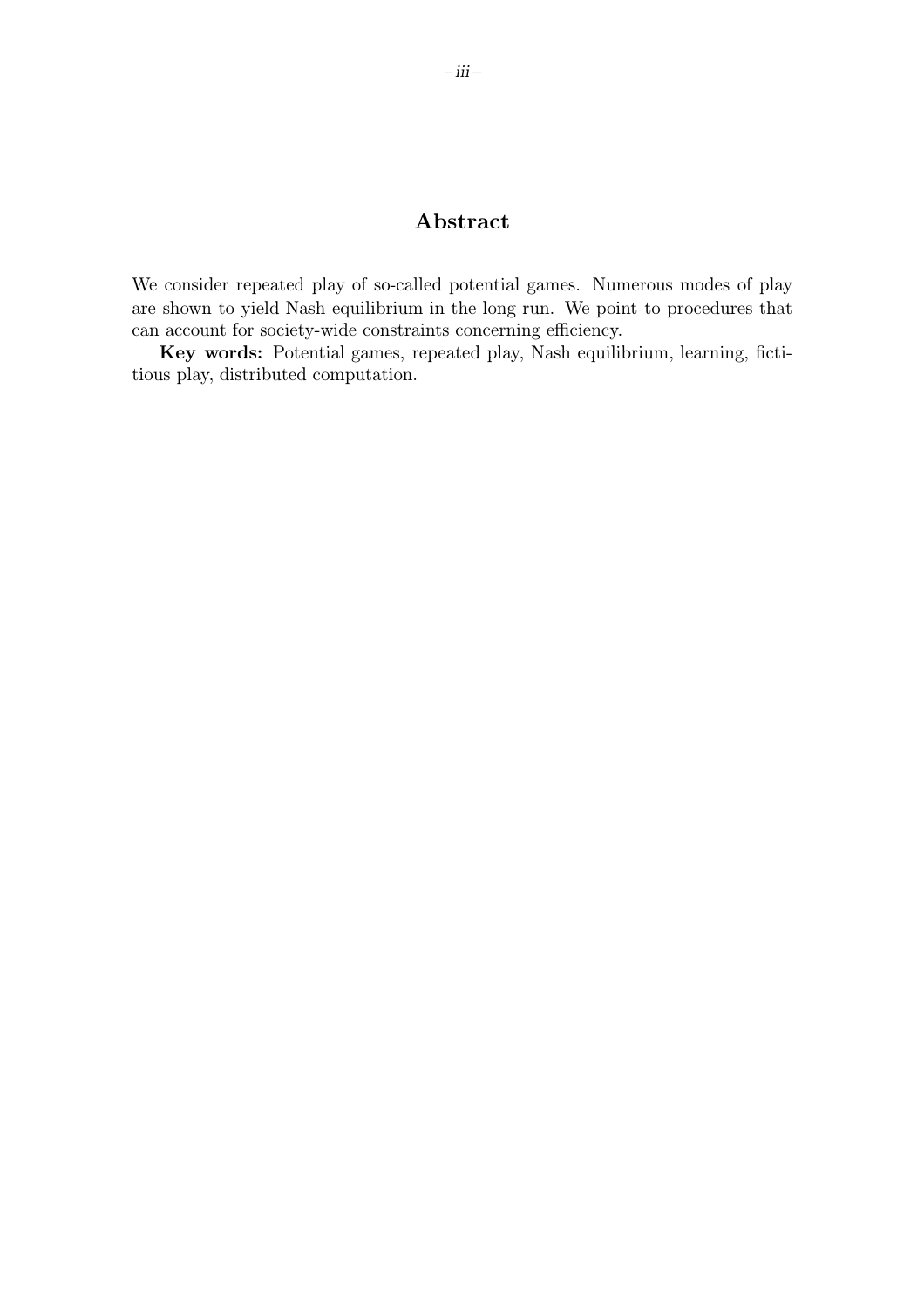## Abstract

We consider repeated play of so-called potential games. Numerous modes of play are shown to yield Nash equilibrium in the long run. We point to procedures that can account for society-wide constraints concerning efficiency.

Key words: Potential games, repeated play, Nash equilibrium, learning, fictitious play, distributed computation.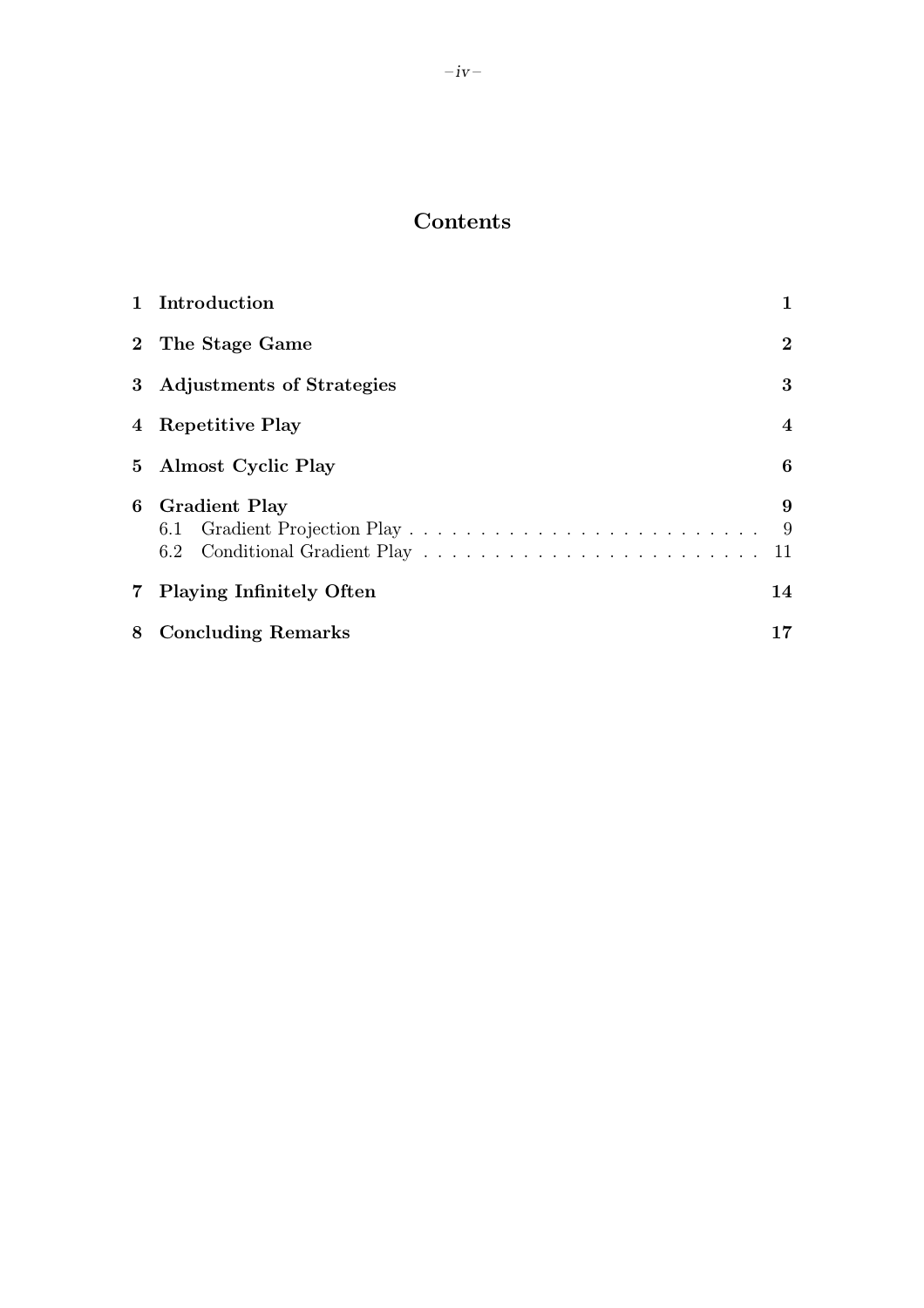## Contents

|    | 1 Introduction              | 1              |
|----|-----------------------------|----------------|
|    | 2 The Stage Game            | $\bf{2}$       |
|    | 3 Adjustments of Strategies | 3              |
|    | 4 Repetitive Play           | $\overline{4}$ |
|    | 5 Almost Cyclic Play        | 6              |
| 6  | <b>Gradient Play</b>        | 9<br>-9<br>-11 |
|    | 7 Playing Infinitely Often  | 14             |
| 8. | <b>Concluding Remarks</b>   | 17             |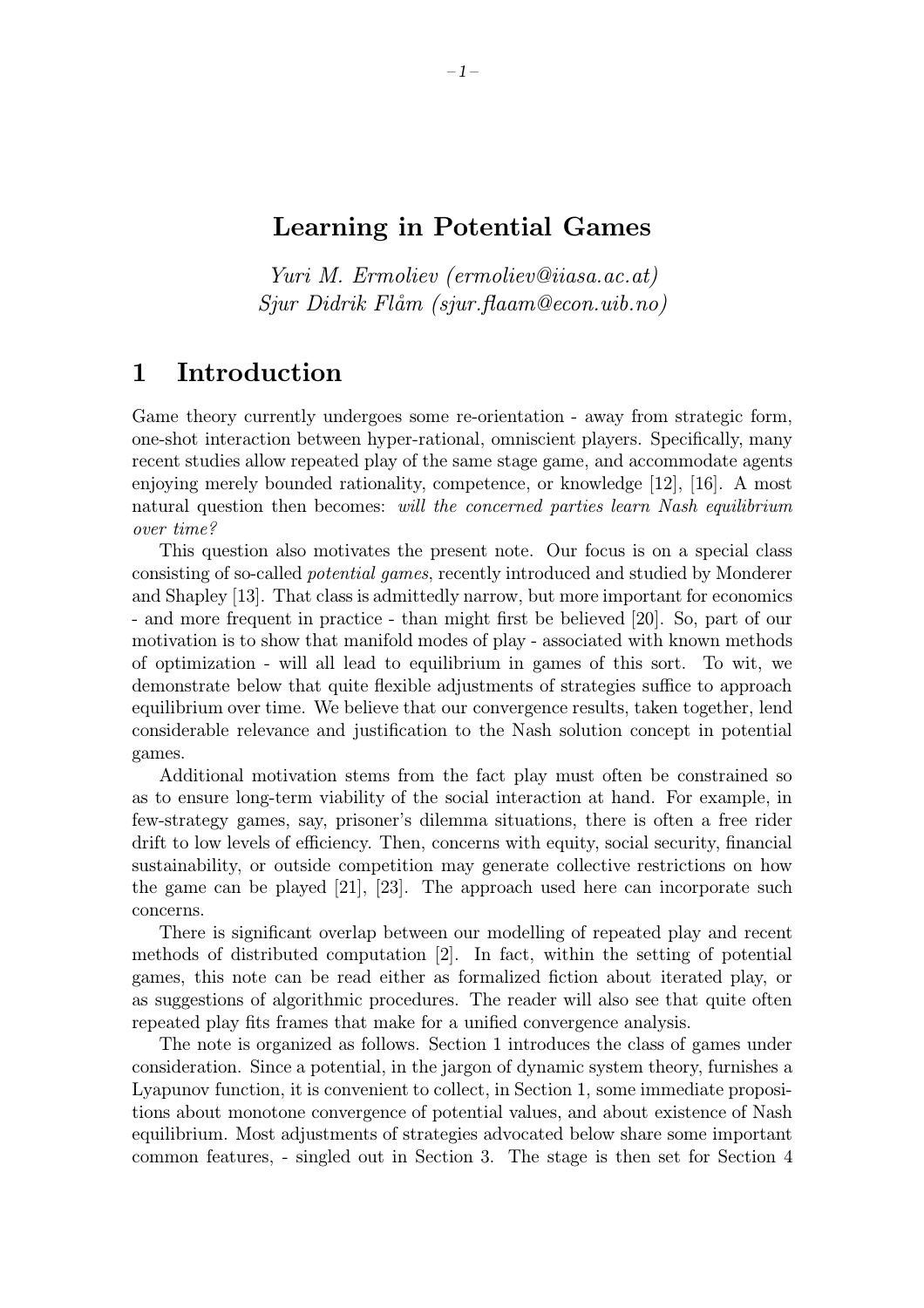## Learning in Potential Games

Yuri M. Ermoliev (ermoliev@iiasa.ac.at) Sjur Didrik Flåm (sjur.flaam@econ.uib.no)

## 1 Introduction

Game theory currently undergoes some re-orientation - away from strategic form, one-shot interaction between hyper-rational, omniscient players. Specifically, many recent studies allow repeated play of the same stage game, and accommodate agents enjoying merely bounded rationality, competence, or knowledge [12], [16]. A most natural question then becomes: will the concerned parties learn Nash equilibrium over time?

This question also motivates the present note. Our focus is on a special class consisting of so-called potential games, recently introduced and studied by Monderer and Shapley [13]. That class is admittedly narrow, but more important for economics - and more frequent in practice - than might first be believed [20]. So, part of our motivation is to show that manifold modes of play - associated with known methods of optimization - will all lead to equilibrium in games of this sort. To wit, we demonstrate below that quite flexible adjustments of strategies suffice to approach equilibrium over time. We believe that our convergence results, taken together, lend considerable relevance and justification to the Nash solution concept in potential games.

Additional motivation stems from the fact play must often be constrained so as to ensure long-term viability of the social interaction at hand. For example, in few-strategy games, say, prisoner's dilemma situations, there is often a free rider drift to low levels of efficiency. Then, concerns with equity, social security, financial sustainability, or outside competition may generate collective restrictions on how the game can be played [21], [23]. The approach used here can incorporate such concerns.

There is significant overlap between our modelling of repeated play and recent methods of distributed computation [2]. In fact, within the setting of potential games, this note can be read either as formalized fiction about iterated play, or as suggestions of algorithmic procedures. The reader will also see that quite often repeated play fits frames that make for a unified convergence analysis.

The note is organized as follows. Section 1 introduces the class of games under consideration. Since a potential, in the jargon of dynamic system theory, furnishes a Lyapunov function, it is convenient to collect, in Section 1, some immediate propositions about monotone convergence of potential values, and about existence of Nash equilibrium. Most adjustments of strategies advocated below share some important common features, - singled out in Section 3. The stage is then set for Section 4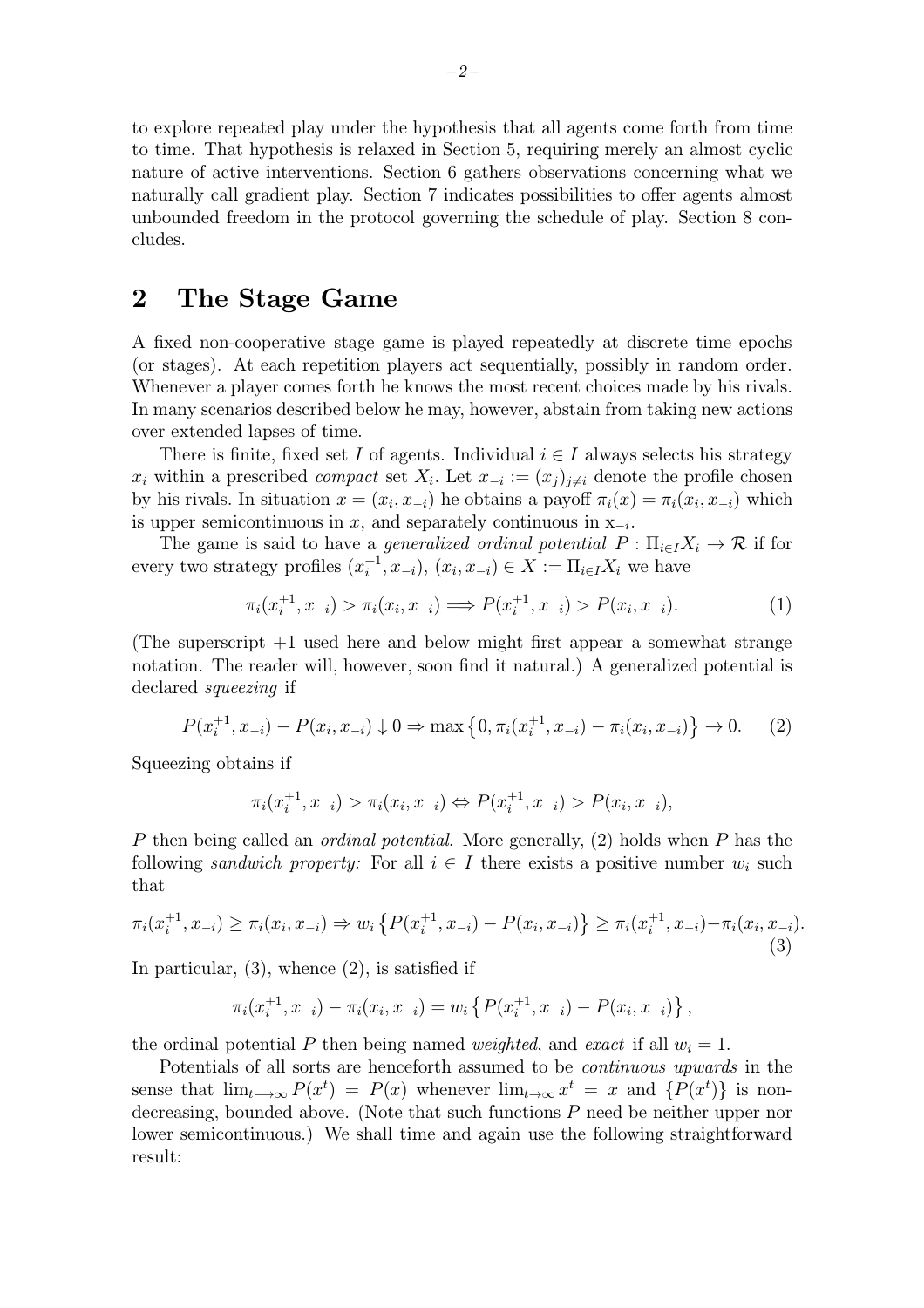to explore repeated play under the hypothesis that all agents come forth from time to time. That hypothesis is relaxed in Section 5, requiring merely an almost cyclic nature of active interventions. Section 6 gathers observations concerning what we naturally call gradient play. Section 7 indicates possibilities to offer agents almost unbounded freedom in the protocol governing the schedule of play. Section 8 concludes.

## 2 The Stage Game

A fixed non-cooperative stage game is played repeatedly at discrete time epochs (or stages). At each repetition players act sequentially, possibly in random order. Whenever a player comes forth he knows the most recent choices made by his rivals. In many scenarios described below he may, however, abstain from taking new actions over extended lapses of time.

There is finite, fixed set I of agents. Individual  $i \in I$  always selects his strategy  $x_i$  within a prescribed *compact* set  $X_i$ . Let  $x_{-i} := (x_i)_{i \neq i}$  denote the profile chosen by his rivals. In situation  $x = (x_i, x_{-i})$  he obtains a payoff  $\pi_i(x) = \pi_i(x_i, x_{-i})$  which is upper semicontinuous in x, and separately continuous in  $x_{-i}$ .

The game is said to have a *generalized ordinal potential*  $P: \Pi_{i \in I} X_i \to \mathcal{R}$  if for every two strategy profiles  $(x_i^{+1}, x_{-i}), (x_i, x_{-i}) \in X := \Pi_{i \in I} X_i$  we have

$$
\pi_i(x_i^{+1}, x_{-i}) > \pi_i(x_i, x_{-i}) \Longrightarrow P(x_i^{+1}, x_{-i}) > P(x_i, x_{-i}). \tag{1}
$$

(The superscript  $+1$  used here and below might first appear a somewhat strange notation. The reader will, however, soon find it natural.) A generalized potential is declared *squeezing* if

$$
P(x_i^{+1}, x_{-i}) - P(x_i, x_{-i}) \downarrow 0 \Rightarrow \max\left\{0, \pi_i(x_i^{+1}, x_{-i}) - \pi_i(x_i, x_{-i})\right\} \to 0. \tag{2}
$$

Squeezing obtains if

$$
\pi_i(x_i^{+1}, x_{-i}) > \pi_i(x_i, x_{-i}) \Leftrightarrow P(x_i^{+1}, x_{-i}) > P(x_i, x_{-i}),
$$

P then being called an *ordinal potential*. More generally, (2) holds when P has the following sandwich property: For all  $i \in I$  there exists a positive number  $w_i$  such that

$$
\pi_i(x_i^{+1}, x_{-i}) \ge \pi_i(x_i, x_{-i}) \Rightarrow w_i\left\{P(x_i^{+1}, x_{-i}) - P(x_i, x_{-i})\right\} \ge \pi_i(x_i^{+1}, x_{-i}) - \pi_i(x_i, x_{-i}).\tag{3}
$$

In particular,  $(3)$ , whence  $(2)$ , is satisfied if

$$
\pi_i(x_i^{+1}, x_{-i}) - \pi_i(x_i, x_{-i}) = w_i \left\{ P(x_i^{+1}, x_{-i}) - P(x_i, x_{-i}) \right\},\,
$$

the ordinal potential P then being named weighted, and exact if all  $w_i = 1$ .

Potentials of all sorts are henceforth assumed to be continuous upwards in the sense that  $\lim_{t\to\infty} P(x^t) = P(x)$  whenever  $\lim_{t\to\infty} x^t = x$  and  $\{P(x^t)\}\$ is nondecreasing, bounded above. (Note that such functions P need be neither upper nor lower semicontinuous.) We shall time and again use the following straightforward result: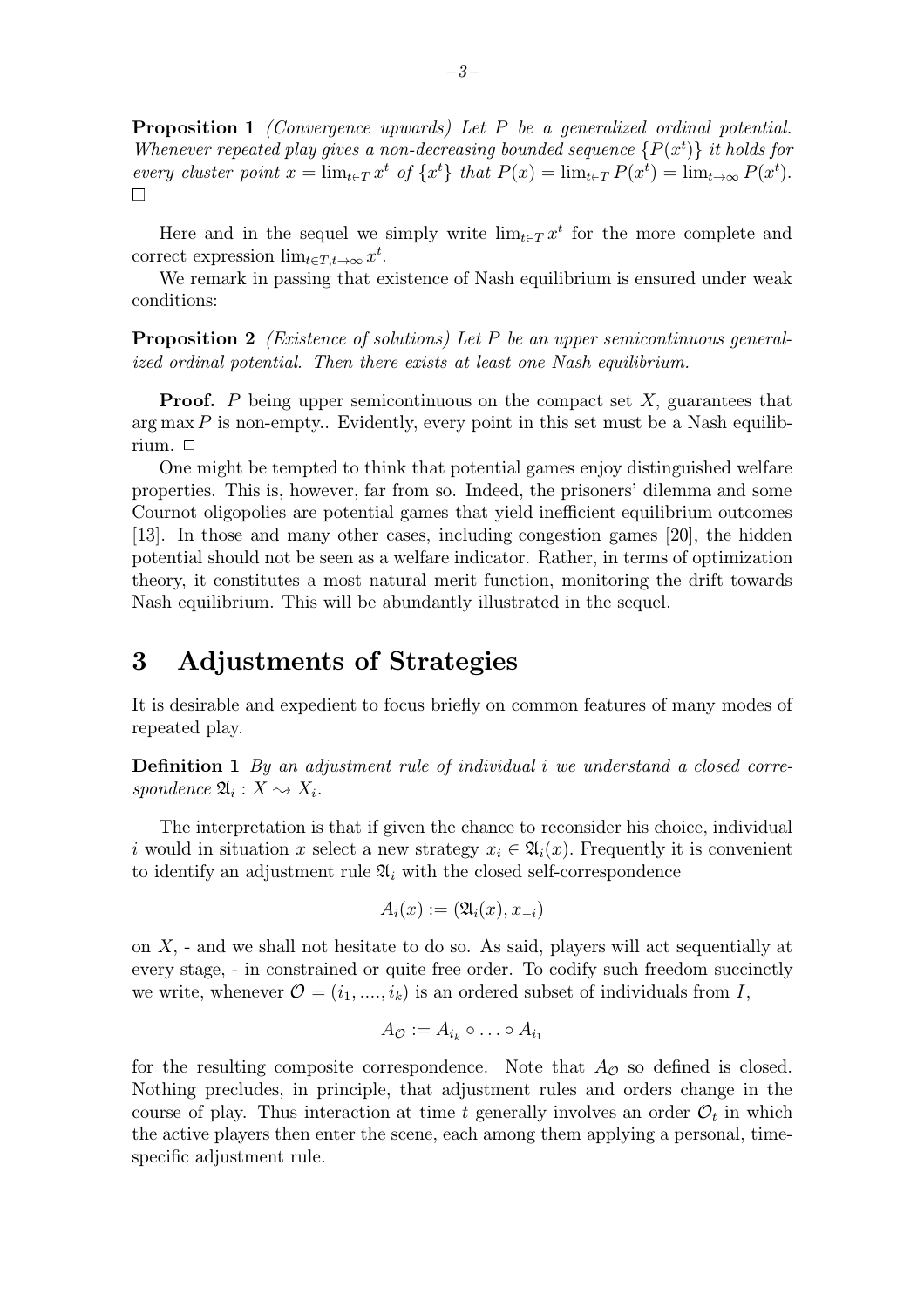Proposition 1 (Convergence upwards) Let P be a generalized ordinal potential. Whenever repeated play gives a non-decreasing bounded sequence  $\{P(x^t)\}\;$  it holds for every cluster point  $x = \lim_{t \in T} x^t$  of  $\{x^t\}$  that  $P(x) = \lim_{t \in T} P(x^t) = \lim_{t \to \infty} P(x^t)$ .

Here and in the sequel we simply write  $\lim_{t\in T} x^t$  for the more complete and correct expression  $\lim_{t \in T, t \to \infty} x^t$ .

We remark in passing that existence of Nash equilibrium is ensured under weak conditions:

**Proposition 2** (Existence of solutions) Let P be an upper semicontinuous generalized ordinal potential. Then there exists at least one Nash equilibrium.

**Proof.** P being upper semicontinuous on the compact set  $X$ , guarantees that  $\arg \max P$  is non-empty.. Evidently, every point in this set must be a Nash equilibrium.  $\Box$ 

One might be tempted to think that potential games enjoy distinguished welfare properties. This is, however, far from so. Indeed, the prisoners' dilemma and some Cournot oligopolies are potential games that yield inefficient equilibrium outcomes [13]. In those and many other cases, including congestion games [20], the hidden potential should not be seen as a welfare indicator. Rather, in terms of optimization theory, it constitutes a most natural merit function, monitoring the drift towards Nash equilibrium. This will be abundantly illustrated in the sequel.

## 3 Adjustments of Strategies

It is desirable and expedient to focus briefly on common features of many modes of repeated play.

Definition 1 By an adjustment rule of individual i we understand a closed correspondence  $\mathfrak{A}_i : X \longrightarrow X_i$ .

The interpretation is that if given the chance to reconsider his choice, individual i would in situation x select a new strategy  $x_i \in \mathfrak{A}_i(x)$ . Frequently it is convenient to identify an adjustment rule  $\mathfrak{A}_i$  with the closed self-correspondence

$$
A_i(x) := (\mathfrak{A}_i(x), x_{-i})
$$

on  $X$ ,  $\overline{a}$  and we shall not hesitate to do so. As said, players will act sequentially at every stage, - in constrained or quite free order. To codify such freedom succinctly we write, whenever  $\mathcal{O} = (i_1, ..., i_k)$  is an ordered subset of individuals from I,

$$
A_{\mathcal{O}} := A_{i_k} \circ \ldots \circ A_{i_1}
$$

for the resulting composite correspondence. Note that  $A_{\mathcal{O}}$  so defined is closed. Nothing precludes, in principle, that adjustment rules and orders change in the course of play. Thus interaction at time t generally involves an order  $\mathcal{O}_t$  in which the active players then enter the scene, each among them applying a personal, timespecific adjustment rule.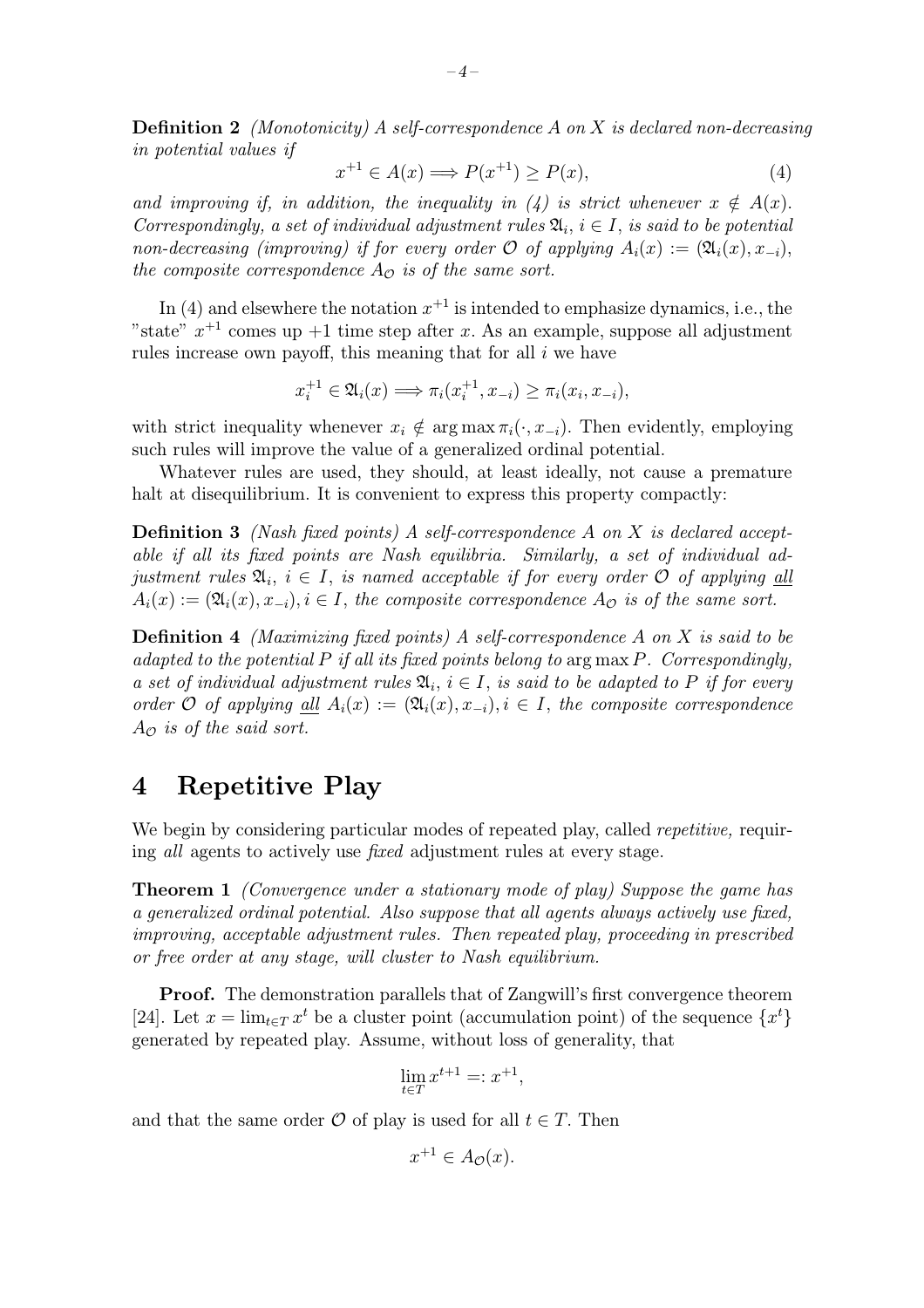**Definition 2** (Monotonicity) A self-correspondence A on X is declared non-decreasing in potential values if

$$
x^{+1} \in A(x) \Longrightarrow P(x^{+1}) \ge P(x),\tag{4}
$$

and improving if, in addition, the inequality in (4) is strict whenever  $x \notin A(x)$ . Correspondingly, a set of individual adjustment rules  $\mathfrak{A}_i$ ,  $i \in I$ , is said to be potential non-decreasing (improving) if for every order O of applying  $A_i(x) := (\mathfrak{A}_i(x), x_{-i}),$ the composite correspondence  $A_{\mathcal{O}}$  is of the same sort.

In (4) and elsewhere the notation  $x^{+1}$  is intended to emphasize dynamics, i.e., the "state"  $x^{+1}$  comes up  $+1$  time step after x. As an example, suppose all adjustment rules increase own payoff, this meaning that for all  $i$  we have

$$
x_i^{+1} \in \mathfrak{A}_i(x) \Longrightarrow \pi_i(x_i^{+1}, x_{-i}) \geq \pi_i(x_i, x_{-i}),
$$

with strict inequality whenever  $x_i \notin \arg \max \pi_i(\cdot, x_{-i})$ . Then evidently, employing such rules will improve the value of a generalized ordinal potential.

Whatever rules are used, they should, at least ideally, not cause a premature halt at disequilibrium. It is convenient to express this property compactly:

**Definition 3** (Nash fixed points) A self-correspondence A on X is declared acceptable if all its fixed points are Nash equilibria. Similarly, a set of individual adjustment rules  $\mathfrak{A}_i$ ,  $i \in I$ , is named acceptable if for every order  $\mathcal O$  of applying all  $A_i(x) := (\mathfrak{A}_i(x), x_{-i}), i \in I$ , the composite correspondence  $A_{\mathcal{O}}$  is of the same sort.

**Definition 4** (Maximizing fixed points) A self-correspondence A on X is said to be adapted to the potential  $P$  if all its fixed points belong to  $\arg \max P$ . Correspondingly, a set of individual adjustment rules  $\mathfrak{A}_i$ ,  $i \in I$ , is said to be adapted to P if for every order O of applying all  $A_i(x) := (\mathfrak{A}_i(x), x_{-i}), i \in I$ , the composite correspondence  $A_{\mathcal{O}}$  is of the said sort.

## 4 Repetitive Play

We begin by considering particular modes of repeated play, called *repetitive*, requiring all agents to actively use fixed adjustment rules at every stage.

**Theorem 1** (Convergence under a stationary mode of play) Suppose the game has a generalized ordinal potential. Also suppose that all agents always actively use fixed, improving, acceptable adjustment rules. Then repeated play, proceeding in prescribed or free order at any stage, will cluster to Nash equilibrium.

Proof. The demonstration parallels that of Zangwill's first convergence theorem [24]. Let  $x = \lim_{t \in T} x^t$  be a cluster point (accumulation point) of the sequence  $\{x^t\}$ generated by repeated play. Assume, without loss of generality, that

$$
\lim_{t \in T} x^{t+1} =: x^{+1},
$$

and that the same order  $O$  of play is used for all  $t \in T$ . Then

$$
x^{+1} \in A_{\mathcal{O}}(x).
$$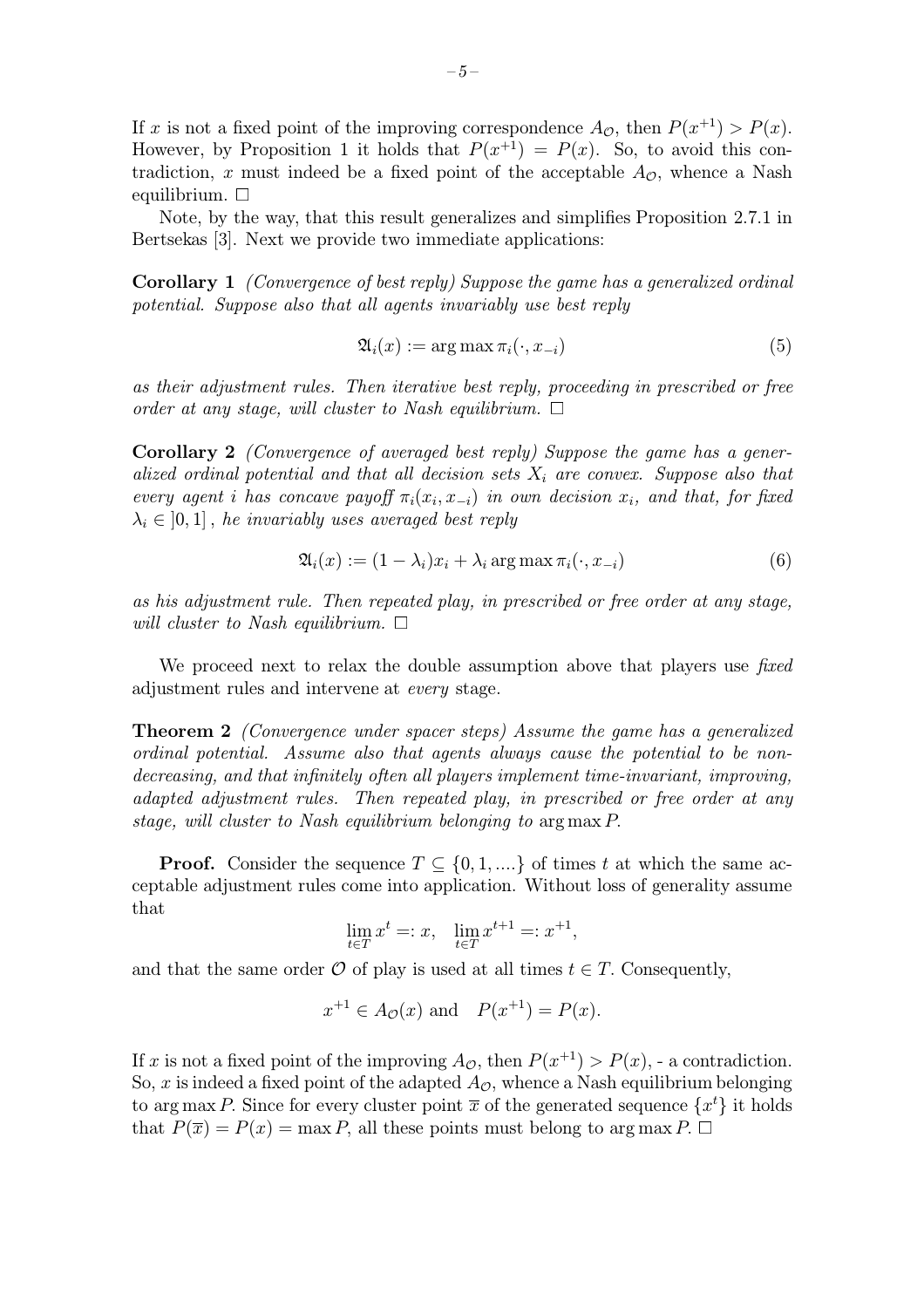If x is not a fixed point of the improving correspondence  $A_{\mathcal{O}}$ , then  $P(x^{+1}) > P(x)$ . However, by Proposition 1 it holds that  $P(x^{+1}) = P(x)$ . So, to avoid this contradiction, x must indeed be a fixed point of the acceptable  $A_{\mathcal{O}}$ , whence a Nash equilibrium. □

Note, by the way, that this result generalizes and simplifies Proposition 2.7.1 in Bertsekas [3]. Next we provide two immediate applications:

Corollary 1 (Convergence of best reply) Suppose the game has a generalized ordinal potential. Suppose also that all agents invariably use best reply

$$
\mathfrak{A}_i(x) := \arg \max \pi_i(\cdot, x_{-i}) \tag{5}
$$

as their adjustment rules. Then iterative best reply, proceeding in prescribed or free order at any stage, will cluster to Nash equilibrium.  $\Box$ 

Corollary 2 (Convergence of averaged best reply) Suppose the game has a generalized ordinal potential and that all decision sets  $X_i$  are convex. Suppose also that every agent i has concave payoff  $\pi_i(x_i, x_{-i})$  in own decision  $x_i$ , and that, for fixed  $\lambda_i \in [0,1]$ , he invariably uses averaged best reply

$$
\mathfrak{A}_i(x) := (1 - \lambda_i)x_i + \lambda_i \arg \max \pi_i(\cdot, x_{-i})
$$
\n(6)

as his adjustment rule. Then repeated play, in prescribed or free order at any stage, will cluster to Nash equilibrium.  $\Box$ 

We proceed next to relax the double assumption above that players use fixed adjustment rules and intervene at every stage.

Theorem 2 (Convergence under spacer steps) Assume the game has a generalized ordinal potential. Assume also that agents always cause the potential to be nondecreasing, and that infinitely often all players implement time-invariant, improving, adapted adjustment rules. Then repeated play, in prescribed or free order at any stage, will cluster to Nash equilibrium belonging to arg max P.

**Proof.** Consider the sequence  $T \subseteq \{0, 1, ...\}$  of times t at which the same acceptable adjustment rules come into application. Without loss of generality assume that

$$
\lim_{t \in T} x^t =: x, \quad \lim_{t \in T} x^{t+1} =: x^{+1},
$$

and that the same order  $\mathcal O$  of play is used at all times  $t \in T$ . Consequently,

$$
x^{+1} \in A_{\mathcal{O}}(x)
$$
 and  $P(x^{+1}) = P(x)$ .

If x is not a fixed point of the improving  $A_{\mathcal{O}}$ , then  $P(x^{+1}) > P(x)$ , - a contradiction. So, x is indeed a fixed point of the adapted  $A_{\mathcal{O}}$ , whence a Nash equilibrium belonging to arg max P. Since for every cluster point  $\bar{x}$  of the generated sequence  $\{x^t\}$  it holds that  $P(\overline{x}) = P(x) = \max P$ , all these points must belong to arg max P.  $\Box$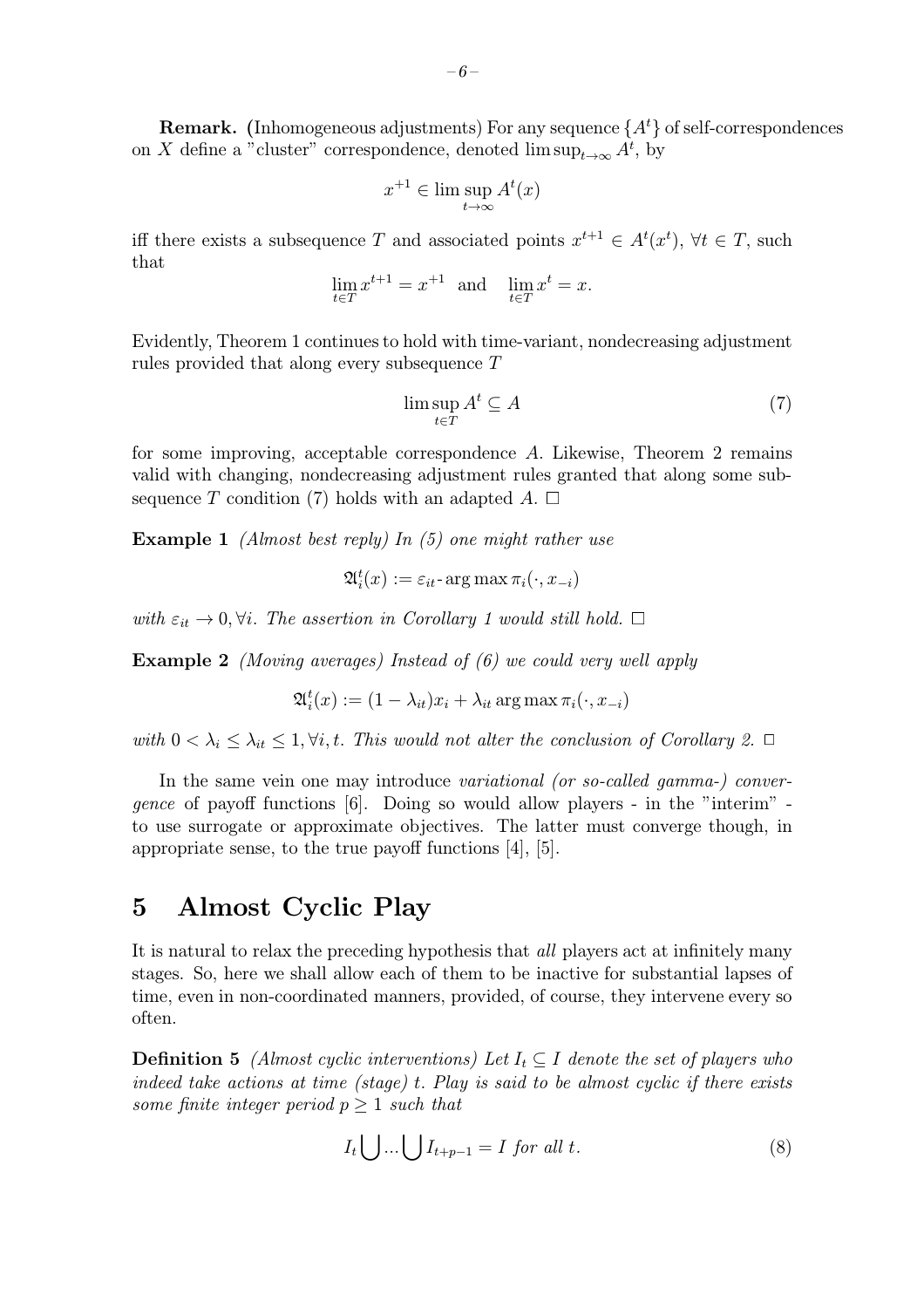**Remark.** (Inhomogeneous adjustments) For any sequence  $\{A<sup>t</sup>\}$  of self-correspondences on X define a "cluster" correspondence, denoted  $\limsup_{t\to\infty} A^t$ , by

$$
x^{+1} \in \limsup_{t \to \infty} A^t(x)
$$

iff there exists a subsequence T and associated points  $x^{t+1} \in A^t(x^t)$ ,  $\forall t \in T$ , such that

$$
\lim_{t \in T} x^{t+1} = x^{+1} \quad \text{and} \quad \lim_{t \in T} x^t = x.
$$

Evidently, Theorem 1 continues to hold with time-variant, nondecreasing adjustment rules provided that along every subsequence T

$$
\limsup_{t \in T} A^t \subseteq A \tag{7}
$$

for some improving, acceptable correspondence A. Likewise, Theorem 2 remains valid with changing, nondecreasing adjustment rules granted that along some subsequence T condition (7) holds with an adapted A.  $\Box$ 

**Example 1** (Almost best reply) In (5) one might rather use

$$
\mathfrak A_i^t(x):=\varepsilon_{it}\text{-}\mathop{\rm arg\,max}\pi_i(\cdot,x_{-i})
$$

with  $\varepsilon_{it} \to 0$ ,  $\forall i$ . The assertion in Corollary 1 would still hold.  $\Box$ 

Example 2 (Moving averages) Instead of (6) we could very well apply

$$
\mathfrak A_i^t(x) := (1 - \lambda_{it}) x_i + \lambda_{it} \arg \max \pi_i(\cdot, x_{-i})
$$

with  $0 < \lambda_i \leq \lambda_{it} \leq 1$ ,  $\forall i, t$ . This would not alter the conclusion of Corollary 2.  $\Box$ 

In the same vein one may introduce variational (or so-called gamma-) convergence of payoff functions [6]. Doing so would allow players - in the "interim" to use surrogate or approximate objectives. The latter must converge though, in appropriate sense, to the true payoff functions [4], [5].

## 5 Almost Cyclic Play

It is natural to relax the preceding hypothesis that all players act at infinitely many stages. So, here we shall allow each of them to be inactive for substantial lapses of time, even in non-coordinated manners, provided, of course, they intervene every so often.

**Definition 5** (Almost cyclic interventions) Let  $I_t \subseteq I$  denote the set of players who indeed take actions at time (stage) t. Play is said to be almost cyclic if there exists some finite integer period  $p \geq 1$  such that

$$
I_t \bigcup \dots \bigcup I_{t+p-1} = I \text{ for all } t. \tag{8}
$$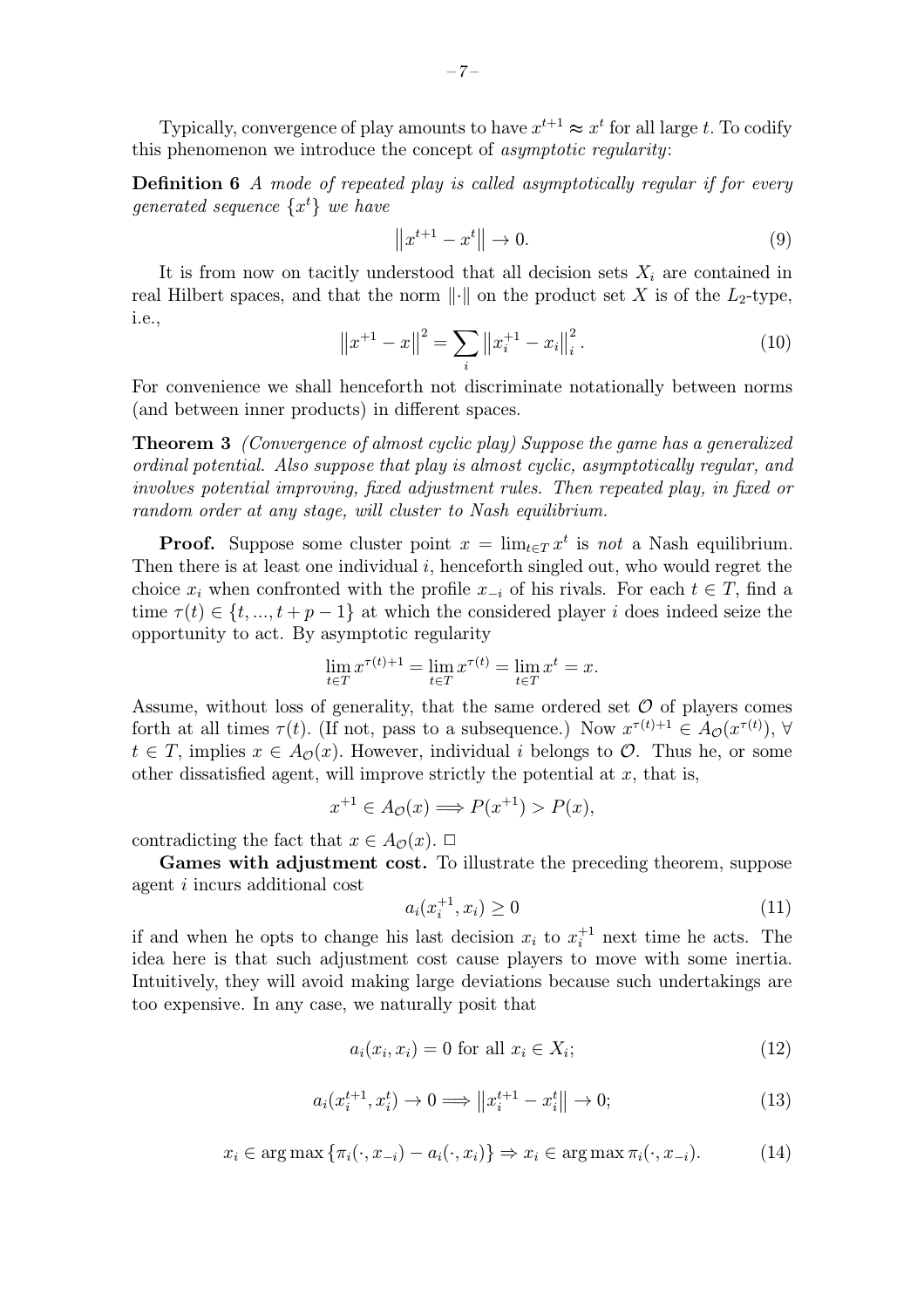Typically, convergence of play amounts to have  $x^{t+1} \approx x^t$  for all large t. To codify this phenomenon we introduce the concept of *asymptotic regularity*:

**Definition 6** A mode of repeated play is called asymptotically regular if for every generated sequence  $\{x^t\}$  we have

$$
||x^{t+1} - x^t|| \to 0. \tag{9}
$$

It is from now on tacitly understood that all decision sets  $X_i$  are contained in real Hilbert spaces, and that the norm  $\|\cdot\|$  on the product set X is of the L<sub>2</sub>-type, i.e.,

$$
\left\|x^{+1} - x\right\|^2 = \sum_{i} \left\|x_i^{+1} - x_i\right\|_i^2. \tag{10}
$$

For convenience we shall henceforth not discriminate notationally between norms (and between inner products) in different spaces.

**Theorem 3** (Convergence of almost cyclic play) Suppose the game has a generalized ordinal potential. Also suppose that play is almost cyclic, asymptotically regular, and involves potential improving, fixed adjustment rules. Then repeated play, in fixed or random order at any stage, will cluster to Nash equilibrium.

**Proof.** Suppose some cluster point  $x = \lim_{t \in T} x^t$  is not a Nash equilibrium. Then there is at least one individual  $i$ , henceforth singled out, who would regret the choice  $x_i$  when confronted with the profile  $x_{-i}$  of his rivals. For each  $t \in T$ , find a time  $\tau(t) \in \{t, ..., t + p - 1\}$  at which the considered player i does indeed seize the opportunity to act. By asymptotic regularity

$$
\lim_{t \in T} x^{\tau(t)+1} = \lim_{t \in T} x^{\tau(t)} = \lim_{t \in T} x^t = x.
$$

Assume, without loss of generality, that the same ordered set  $\mathcal O$  of players comes forth at all times  $\tau(t)$ . (If not, pass to a subsequence.) Now  $x^{\tau(t)+1} \in A_{\mathcal{O}}(x^{\tau(t)})$ ,  $\forall$  $t \in T$ , implies  $x \in A_{\mathcal{O}}(x)$ . However, individual i belongs to  $\mathcal{O}$ . Thus he, or some other dissatisfied agent, will improve strictly the potential at  $x$ , that is,

$$
x^{+1} \in A_{\mathcal{O}}(x) \Longrightarrow P(x^{+1}) > P(x),
$$

contradicting the fact that  $x \in A_{\mathcal{O}}(x)$ .  $\Box$ 

Games with adjustment cost. To illustrate the preceding theorem, suppose agent i incurs additional cost

$$
a_i(x_i^{+1}, x_i) \ge 0 \tag{11}
$$

if and when he opts to change his last decision  $x_i$  to  $x_i^{+1}$  next time he acts. The idea here is that such adjustment cost cause players to move with some inertia. Intuitively, they will avoid making large deviations because such undertakings are too expensive. In any case, we naturally posit that

$$
a_i(x_i, x_i) = 0 \text{ for all } x_i \in X_i; \tag{12}
$$

$$
a_i(x_i^{t+1}, x_i^t) \to 0 \Longrightarrow ||x_i^{t+1} - x_i^t|| \to 0; \tag{13}
$$

$$
x_i \in \arg\max \left\{ \pi_i(\cdot, x_{-i}) - a_i(\cdot, x_i) \right\} \Rightarrow x_i \in \arg\max \pi_i(\cdot, x_{-i}). \tag{14}
$$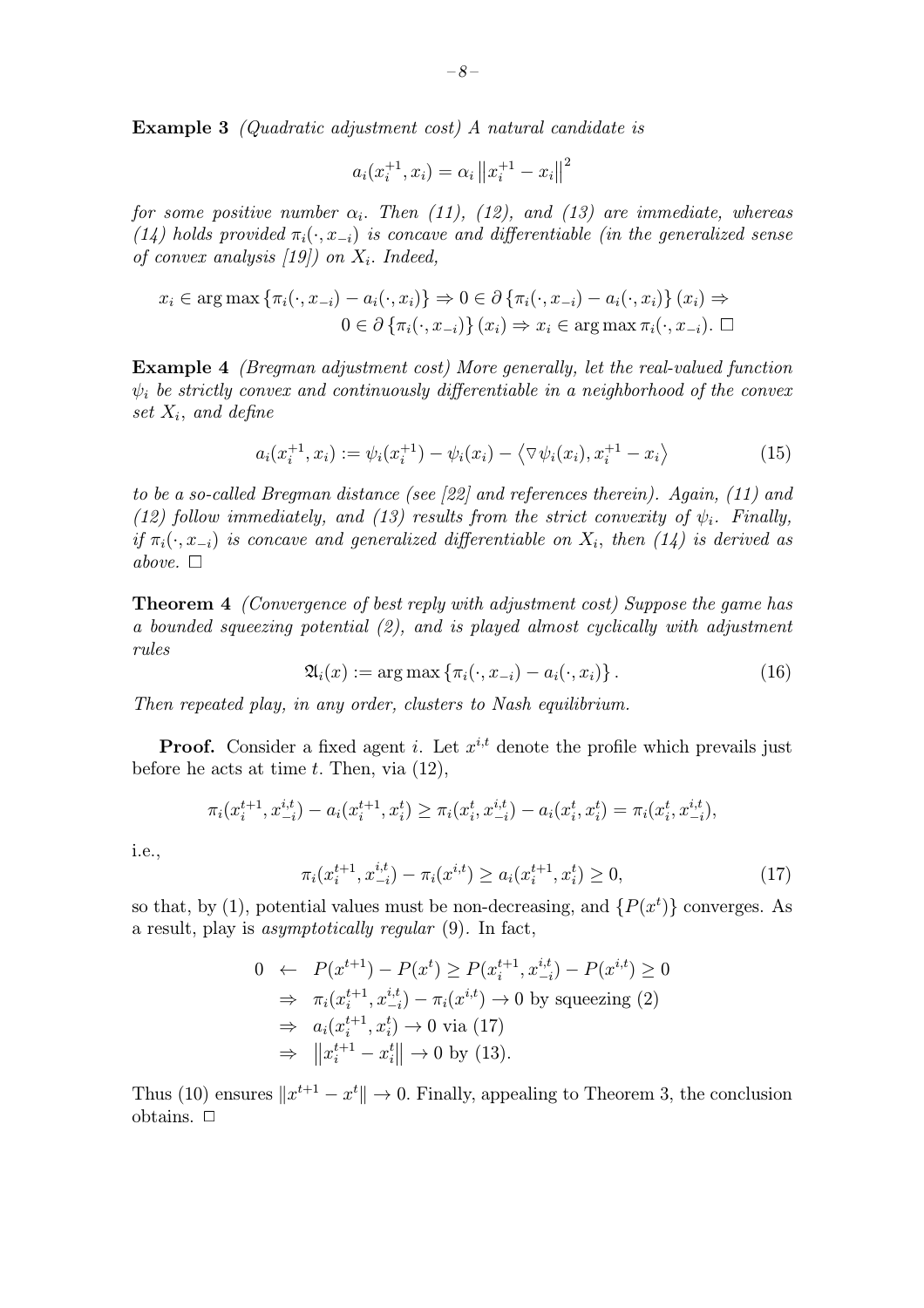Example 3 (Quadratic adjustment cost) A natural candidate is

$$
a_i(x_i^{+1}, x_i) = \alpha_i \|x_i^{+1} - x_i\|^2
$$

for some positive number  $\alpha_i$ . Then (11), (12), and (13) are immediate, whereas (14) holds provided  $\pi_i(\cdot, x_{-i})$  is concave and differentiable (in the generalized sense of convex analysis  $(19)$  on  $X_i$ . Indeed,

$$
x_i \in \arg \max \{ \pi_i(\cdot, x_{-i}) - a_i(\cdot, x_i) \} \Rightarrow 0 \in \partial \{ \pi_i(\cdot, x_{-i}) - a_i(\cdot, x_i) \} (x_i) \Rightarrow
$$
  

$$
0 \in \partial \{ \pi_i(\cdot, x_{-i}) \} (x_i) \Rightarrow x_i \in \arg \max \pi_i(\cdot, x_{-i}). \ \Box
$$

Example 4 (Bregman adjustment cost) More generally, let the real-valued function  $\psi_i$  be strictly convex and continuously differentiable in a neighborhood of the convex set  $X_i$ , and define

$$
a_i(x_i^{+1}, x_i) := \psi_i(x_i^{+1}) - \psi_i(x_i) - \langle \nabla \psi_i(x_i), x_i^{+1} - x_i \rangle \tag{15}
$$

to be a so-called Bregman distance (see [22] and references therein). Again, (11) and (12) follow immediately, and (13) results from the strict convexity of  $\psi_i$ . Finally, if  $\pi_i(\cdot, x_{-i})$  is concave and generalized differentiable on  $X_i$ , then (14) is derived as above.  $\square$ 

**Theorem 4** (Convergence of best reply with adjustment cost) Suppose the game has a bounded squeezing potential (2), and is played almost cyclically with adjustment rules

$$
\mathfrak{A}_i(x) := \arg \max \left\{ \pi_i(\cdot, x_{-i}) - a_i(\cdot, x_i) \right\}.
$$
 (16)

Then repeated play, in any order, clusters to Nash equilibrium.

**Proof.** Consider a fixed agent i. Let  $x^{i,t}$  denote the profile which prevails just before he acts at time  $t$ . Then, via  $(12)$ ,

$$
\pi_i(x_i^{t+1}, x_{-i}^{i,t}) - a_i(x_i^{t+1}, x_i^t) \ge \pi_i(x_i^t, x_{-i}^{i,t}) - a_i(x_i^t, x_i^t) = \pi_i(x_i^t, x_{-i}^{i,t}),
$$

i.e.,

$$
\pi_i(x_i^{t+1}, x_{-i}^{i,t}) - \pi_i(x_i^{i,t}) \ge a_i(x_i^{t+1}, x_i^t) \ge 0,
$$
\n(17)

so that, by (1), potential values must be non-decreasing, and  $\{P(x^t)\}\)$  converges. As a result, play is asymptotically regular (9). In fact,

$$
0 \leftarrow P(x^{t+1}) - P(x^t) \ge P(x_i^{t+1}, x_{-i}^{i,t}) - P(x^{i,t}) \ge 0
$$
  
\n
$$
\Rightarrow \pi_i(x_i^{t+1}, x_{-i}^{i,t}) - \pi_i(x^{i,t}) \to 0 \text{ by squeezing (2)}
$$
  
\n
$$
\Rightarrow a_i(x_i^{t+1}, x_i^t) \to 0 \text{ via (17)}
$$
  
\n
$$
\Rightarrow ||x_i^{t+1} - x_i^t|| \to 0 \text{ by (13)}.
$$

Thus (10) ensures  $||x^{t+1} - x^t|| \to 0$ . Finally, appealing to Theorem 3, the conclusion obtains.  $\Box$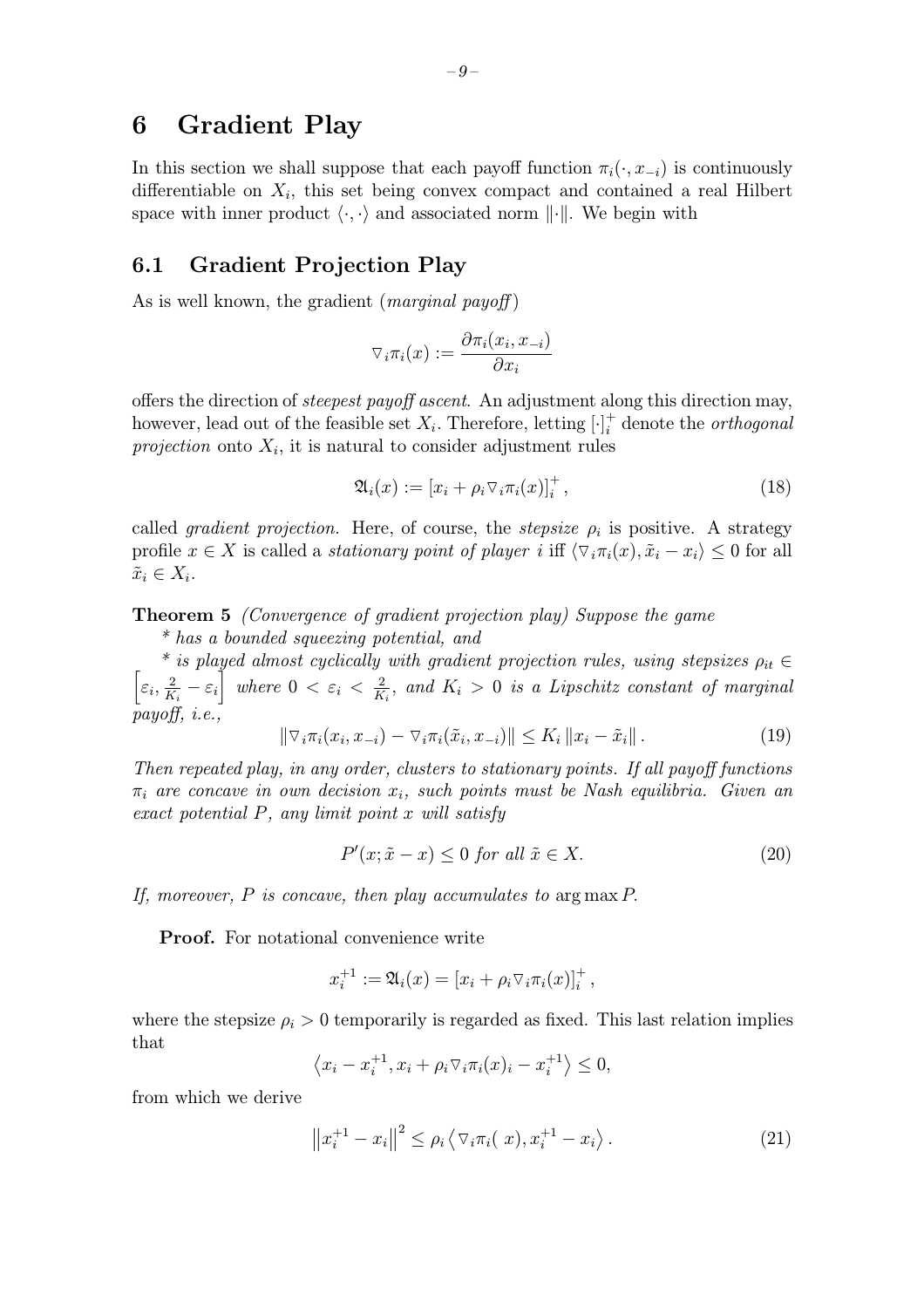## 6 Gradient Play

In this section we shall suppose that each payoff function  $\pi_i(\cdot, x_{-i})$  is continuously differentiable on  $X_i$ , this set being convex compact and contained a real Hilbert space with inner product  $\langle \cdot, \cdot \rangle$  and associated norm  $\|\cdot\|$ . We begin with

### 6.1 Gradient Projection Play

As is well known, the gradient (*marginal payoff*)

$$
\triangledown_i \pi_i(x) := \frac{\partial \pi_i(x_i, x_{-i})}{\partial x_i}
$$

offers the direction of steepest payoff ascent. An adjustment along this direction may, however, lead out of the feasible set  $X_i$ . Therefore, letting  $[\cdot]_i^+$  denote the *orthogonal* projection onto  $X_i$ , it is natural to consider adjustment rules

$$
\mathfrak{A}_i(x) := \left[x_i + \rho_i \nabla_i \pi_i(x)\right]_i^+, \tag{18}
$$

called *gradient projection*. Here, of course, the *stepsize*  $\rho_i$  is positive. A strategy profile  $x \in X$  is called a *stationary point of player i* iff  $\langle \nabla_i \pi_i(x), \tilde{x}_i - x_i \rangle \leq 0$  for all  $\tilde{x}_i \in X_i$ .

**Theorem 5** (Convergence of gradient projection play) Suppose the game

\* has a bounded squeezing potential, and

 $\left[\varepsilon_i, \frac{2}{K_i} - \varepsilon_i\right]$  where  $0 < \varepsilon_i < \frac{2}{K_i}$ , and  $K_i > 0$  is a Lipschitz constant of marginal \* is played almost cyclically with gradient projection rules, using stepsizes  $\rho_{it} \in$ payoff, i.e.,

$$
\|\nabla_i \pi_i(x_i, x_{-i}) - \nabla_i \pi_i(\tilde{x}_i, x_{-i})\| \leq K_i \|x_i - \tilde{x}_i\|.
$$
\n(19)

Then repeated play, in any order, clusters to stationary points. If all payoff functions  $\pi_i$  are concave in own decision  $x_i$ , such points must be Nash equilibria. Given an exact potential  $P$ , any limit point x will satisfy

$$
P'(x; \tilde{x} - x) \le 0 \text{ for all } \tilde{x} \in X. \tag{20}
$$

If, moreover,  $P$  is concave, then play accumulates to  $\arg \max P$ .

Proof. For notational convenience write

$$
x_i^{+1} := \mathfrak{A}_i(x) = [x_i + \rho_i \nabla_i \pi_i(x)]_i^+,
$$

where the stepsize  $\rho_i > 0$  temporarily is regarded as fixed. This last relation implies that

$$
\left\langle x_i - x_i^{+1}, x_i + \rho_i \nabla_i \pi_i(x)_i - x_i^{+1} \right\rangle \leq 0,
$$

from which we derive

$$
||x_i^{+1} - x_i||^2 \le \rho_i \langle \nabla_i \pi_i(x), x_i^{+1} - x_i \rangle.
$$
 (21)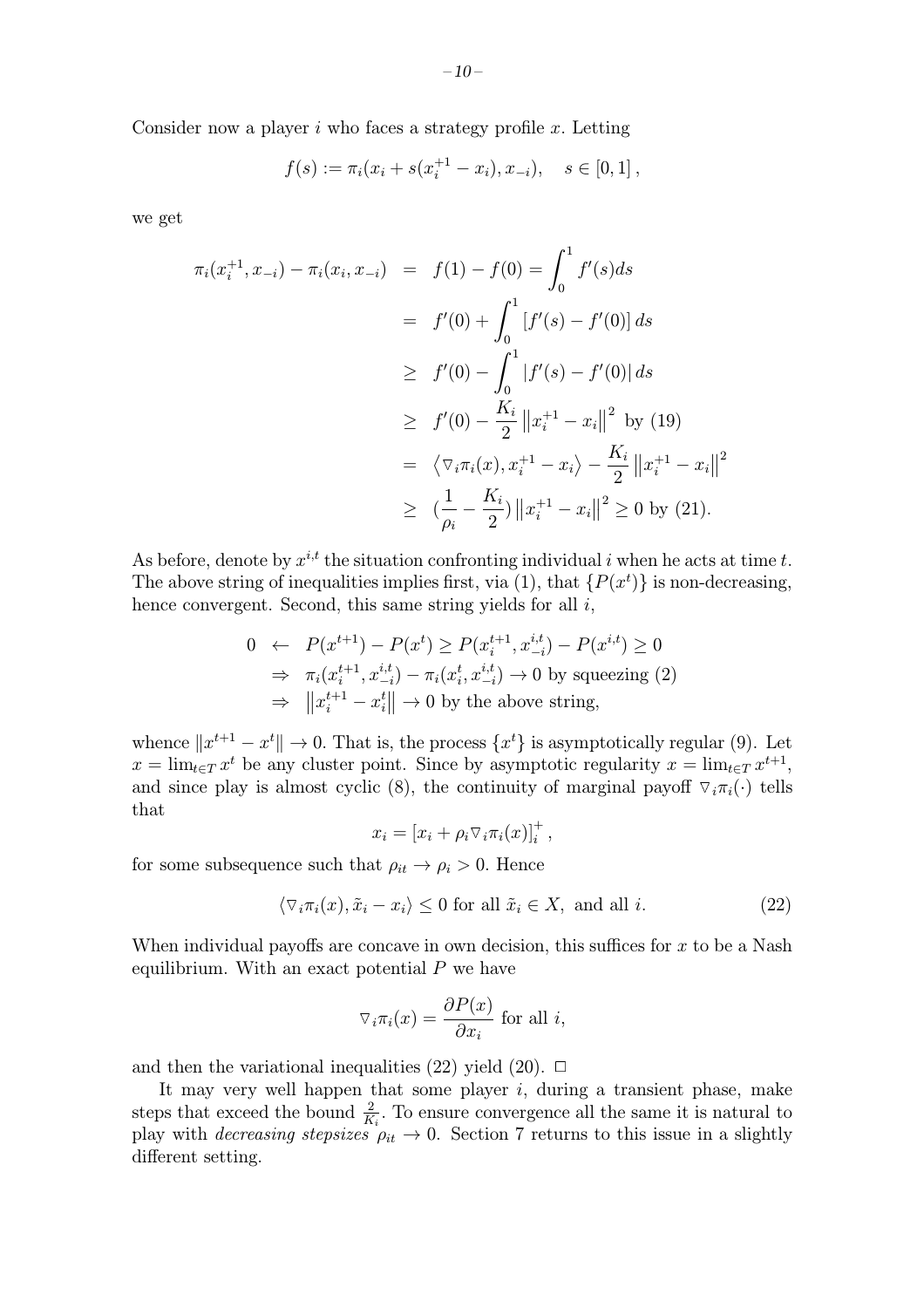Consider now a player  $i$  who faces a strategy profile  $x$ . Letting

$$
f(s) := \pi_i(x_i + s(x_i^{+1} - x_i), x_{-i}), \quad s \in [0, 1],
$$

we get

$$
\pi_i(x_i^{+1}, x_{-i}) - \pi_i(x_i, x_{-i}) = f(1) - f(0) = \int_0^1 f'(s) ds
$$
  
\n
$$
= f'(0) + \int_0^1 [f'(s) - f'(0)] ds
$$
  
\n
$$
\geq f'(0) - \int_0^1 |f'(s) - f'(0)| ds
$$
  
\n
$$
\geq f'(0) - \frac{K_i}{2} ||x_i^{+1} - x_i||^2 \text{ by (19)}
$$
  
\n
$$
= \langle \nabla_i \pi_i(x), x_i^{+1} - x_i \rangle - \frac{K_i}{2} ||x_i^{+1} - x_i||^2
$$
  
\n
$$
\geq \left( \frac{1}{\rho_i} - \frac{K_i}{2} \right) ||x_i^{+1} - x_i||^2 \geq 0 \text{ by (21)}.
$$

As before, denote by  $x^{i,t}$  the situation confronting individual i when he acts at time t. The above string of inequalities implies first, via (1), that  $\{P(x^t)\}\$ is non-decreasing, hence convergent. Second, this same string yields for all  $i$ ,

$$
0 \leftarrow P(x^{t+1}) - P(x^t) \ge P(x_i^{t+1}, x_{-i}^{i,t}) - P(x^{i,t}) \ge 0
$$
  
\n
$$
\Rightarrow \pi_i(x_i^{t+1}, x_{-i}^{i,t}) - \pi_i(x_i^t, x_{-i}^{i,t}) \to 0 \text{ by squeezing (2)}
$$
  
\n
$$
\Rightarrow ||x_i^{t+1} - x_i^t|| \to 0 \text{ by the above string,}
$$

whence  $||x^{t+1} - x^t|| \to 0$ . That is, the process  $\{x^t\}$  is asymptotically regular (9). Let  $x = \lim_{t \in T} x^t$  be any cluster point. Since by asymptotic regularity  $x = \lim_{t \in T} x^{t+1}$ , and since play is almost cyclic (8), the continuity of marginal payoff  $\nabla_i \pi_i(\cdot)$  tells that

$$
x_i = [x_i + \rho_i \nabla_i \pi_i(x)]_i^+,
$$

for some subsequence such that  $\rho_{it} \rightarrow \rho_i > 0$ . Hence

$$
\langle \nabla_i \pi_i(x), \tilde{x}_i - x_i \rangle \le 0 \text{ for all } \tilde{x}_i \in X, \text{ and all } i. \tag{22}
$$

When individual payoffs are concave in own decision, this suffices for  $x$  to be a Nash equilibrium. With an exact potential  $P$  we have

$$
\nabla_i \pi_i(x) = \frac{\partial P(x)}{\partial x_i}
$$
 for all *i*,

and then the variational inequalities (22) yield (20).  $\Box$ 

It may very well happen that some player  $i$ , during a transient phase, make steps that exceed the bound  $\frac{2}{K_i}$ . To ensure convergence all the same it is natural to play with *decreasing stepsizes*  $\rho_{it} \rightarrow 0$ . Section 7 returns to this issue in a slightly different setting.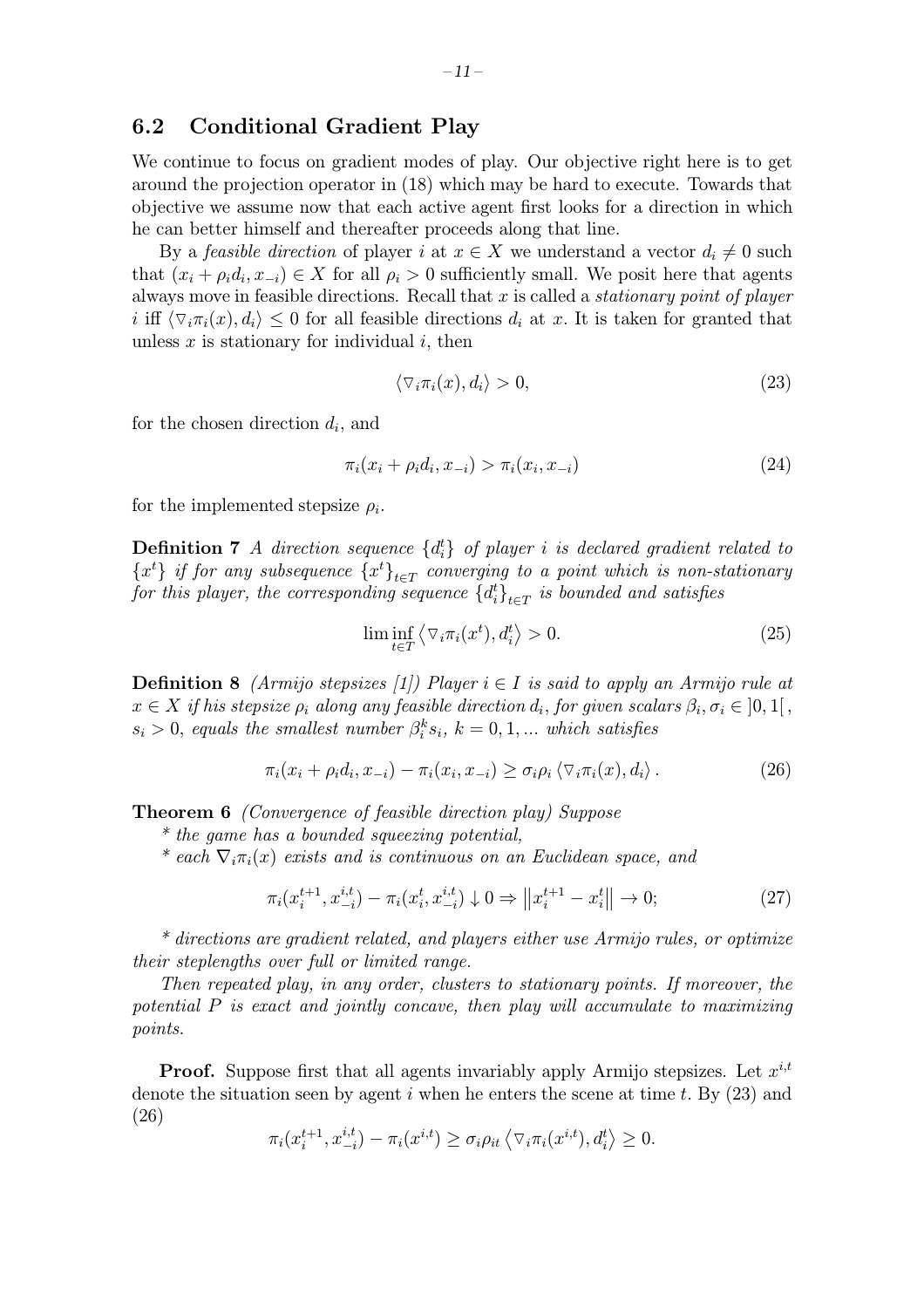### 6.2 Conditional Gradient Play

We continue to focus on gradient modes of play. Our objective right here is to get around the projection operator in (18) which may be hard to execute. Towards that objective we assume now that each active agent first looks for a direction in which he can better himself and thereafter proceeds along that line.

By a *feasible direction* of player *i* at  $x \in X$  we understand a vector  $d_i \neq 0$  such that  $(x_i + \rho_i d_i, x_{-i}) \in X$  for all  $\rho_i > 0$  sufficiently small. We posit here that agents always move in feasible directions. Recall that  $x$  is called a *stationary point of player* i iff  $\langle \nabla_i \pi_i(x), d_i \rangle \leq 0$  for all feasible directions  $d_i$  at x. It is taken for granted that unless  $x$  is stationary for individual  $i$ , then

$$
\langle \nabla_i \pi_i(x), d_i \rangle > 0,\tag{23}
$$

for the chosen direction  $d_i$ , and

$$
\pi_i(x_i + \rho_i d_i, x_{-i}) > \pi_i(x_i, x_{-i})
$$
\n(24)

for the implemented stepsize  $\rho_i$ .

**Definition 7** A direction sequence  $\{d_i^t\}$  of player i is declared gradient related to  ${x<sup>t</sup>}$  if for any subsequence  ${x<sup>t</sup>}_{t\in T}$  converging to a point which is non-stationary for this player, the corresponding sequence  $\left\{d_i^t\right\}_{t\in T}$  is bounded and satisfies

$$
\liminf_{t \in T} \left\langle \nabla_i \pi_i(x^t), d_i^t \right\rangle > 0. \tag{25}
$$

**Definition 8** (Armijo stepsizes [1]) Player  $i \in I$  is said to apply an Armijo rule at  $x \in X$  if his stepsize  $\rho_i$  along any feasible direction  $d_i$ , for given scalars  $\beta_i$ ,  $\sigma_i \in [0,1]$ ,  $s_i > 0$ , equals the smallest number  $\beta_i^k s_i$ ,  $k = 0, 1, ...$  which satisfies

$$
\pi_i(x_i + \rho_i d_i, x_{-i}) - \pi_i(x_i, x_{-i}) \geq \sigma_i \rho_i \langle \nabla_i \pi_i(x), d_i \rangle. \tag{26}
$$

Theorem 6 (Convergence of feasible direction play) Suppose

\* the game has a bounded squeezing potential,

\* each  $\nabla_i \pi_i(x)$  exists and is continuous on an Euclidean space, and

$$
\pi_i(x_i^{t+1}, x_{-i}^{i,t}) - \pi_i(x_i^t, x_{-i}^{i,t}) \downarrow 0 \Rightarrow ||x_i^{t+1} - x_i^t|| \to 0; \tag{27}
$$

\* directions are gradient related, and players either use Armijo rules, or optimize their steplengths over full or limited range.

Then repeated play, in any order, clusters to stationary points. If moreover, the potential P is exact and jointly concave, then play will accumulate to maximizing points.

**Proof.** Suppose first that all agents invariably apply Armijo stepsizes. Let  $x^{i,t}$ denote the situation seen by agent i when he enters the scene at time t. By  $(23)$  and (26)

$$
\pi_i(x_i^{t+1}, x_{-i}^{i,t}) - \pi_i(x^{i,t}) \geq \sigma_i \rho_{it} \left\langle \nabla_i \pi_i(x^{i,t}), d_i^t \right\rangle \geq 0.
$$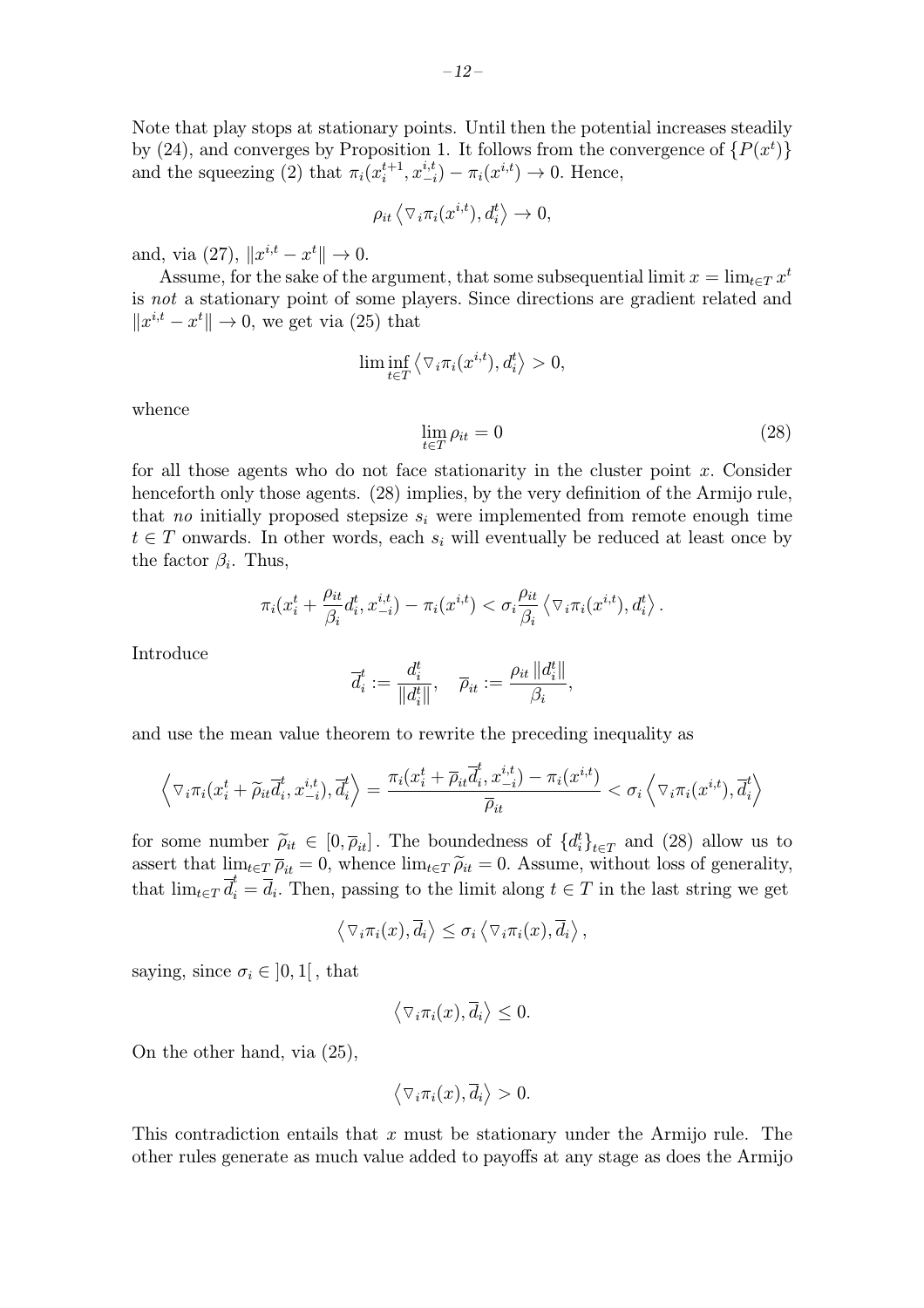Note that play stops at stationary points. Until then the potential increases steadily by (24), and converges by Proposition 1. It follows from the convergence of  $\{P(x^t)\}$ and the squeezing (2) that  $\pi_i(x_i^{t+1}, x_{-i}^{i,t}) - \pi_i(x_i^{i,t}) \to 0$ . Hence,

$$
\rho_{it} \left\langle \nabla_i \pi_i(x^{i,t}), d_i^t \right\rangle \to 0,
$$

and, via  $(27), \|x^{i,t} - x^t\| \to 0.$ 

Assume, for the sake of the argument, that some subsequential limit  $x = \lim_{t \in T} x^t$ is not a stationary point of some players. Since directions are gradient related and  $||x^{i,t} - x^t|| \to 0$ , we get via (25) that

$$
\liminf_{t \in T} \left\langle \nabla_i \pi_i(x^{i,t}), d_i^t \right\rangle > 0,
$$
  

$$
\lim_{t \in T} \rho_{it} = 0
$$
 (28)

whence

for all those agents who do not face stationarity in the cluster point  $x$ . Consider henceforth only those agents. (28) implies, by the very definition of the Armijo rule, that no initially proposed stepsize  $s_i$  were implemented from remote enough time  $t \in T$  onwards. In other words, each  $s_i$  will eventually be reduced at least once by the factor  $\beta_i$ . Thus,

$$
\pi_i(x_i^t+\frac{\rho_{it}}{\beta_i}d_i^t,x_{-i}^{i,t})-\pi_i(x^{i,t})<\sigma_i\frac{\rho_{it}}{\beta_i}\left\langle\nabla_i\pi_i(x^{i,t}),d_i^t\right\rangle.
$$

Introduce

$$
\overline{d}_i^t := \frac{d_i^t}{\|d_i^t\|}, \quad \overline{\rho}_{it} := \frac{\rho_{it}\, \|d_i^t\|}{\beta_i},
$$

and use the mean value theorem to rewrite the preceding inequality as

$$
\left\langle \triangledown_i \pi_i (x_i^t + \widetilde{\rho}_{it} \overline{d}_i^t, x_{-i}^{i,t}), \overline{d}_i^t \right\rangle = \frac{\pi_i (x_i^t + \overline{\rho}_{it} \overline{d}_i^t, x_{-i}^{i,t}) - \pi_i (x^{i,t})}{\overline{\rho}_{it}} < \sigma_i \left\langle \triangledown_i \pi_i (x^{i,t}), \overline{d}_i^t \right\rangle
$$

for some number  $\tilde{\rho}_{it} \in [0, \overline{\rho}_{it}]$ . The boundedness of  $\{d_i^t\}_{t \in T}$  and (28) allow us to assert that  $\lim_{t \in T} \overline{\rho}_{it} = 0$  whence  $\lim_{t \in T} \tilde{\rho}_{it} = 0$ . Assume without loss of generality assert that  $\lim_{t \in T} \overline{\rho}_{it} = 0$ , whence  $\lim_{t \in T} \widetilde{\rho}_{it} = 0$ . Assume, without loss of generality, that  $\lim_{t \in T} \overline{d}_i^t = \overline{d}_i$ . Then, passing to the limit along  $t \in T$  in the last string we get

$$
\left\langle \nabla_i \pi_i(x), \overline{d}_i \right\rangle \leq \sigma_i \left\langle \nabla_i \pi_i(x), \overline{d}_i \right\rangle,
$$

saying, since  $\sigma_i \in [0,1]$ , that

$$
\left\langle \triangledown_{i}\pi_{i}(x),\overline{d}_{i}\right\rangle \leq0.
$$

On the other hand, via (25),

$$
\left\langle \nabla_i \pi_i(x), \overline{d}_i \right\rangle > 0.
$$

This contradiction entails that x must be stationary under the Armijo rule. The other rules generate as much value added to payoffs at any stage as does the Armijo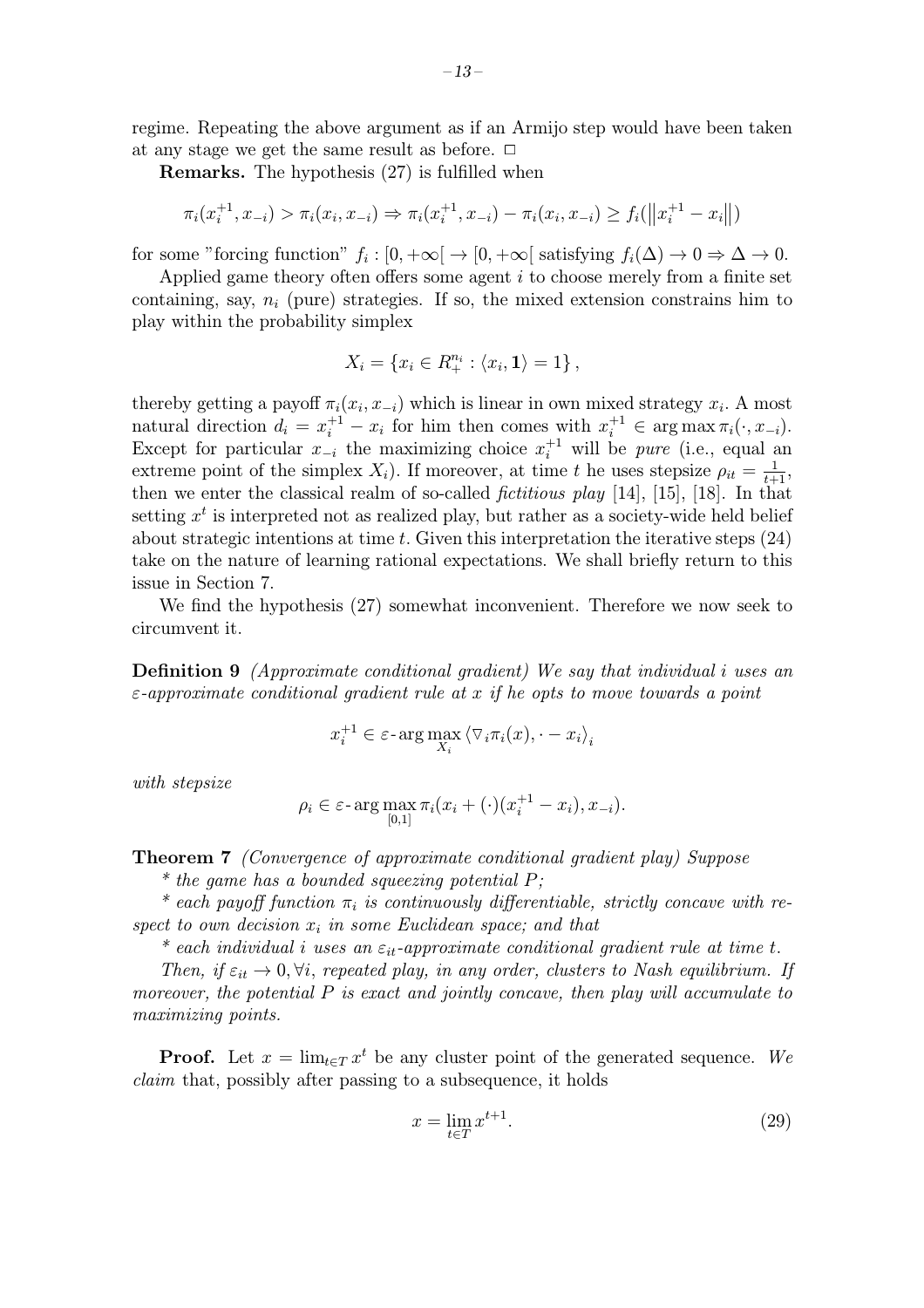regime. Repeating the above argument as if an Armijo step would have been taken at any stage we get the same result as before.  $\Box$ 

Remarks. The hypothesis (27) is fulfilled when

$$
\pi_i(x_i^{+1}, x_{-i}) > \pi_i(x_i, x_{-i}) \Rightarrow \pi_i(x_i^{+1}, x_{-i}) - \pi_i(x_i, x_{-i}) \ge f_i(\left\|x_i^{+1} - x_i\right\|)
$$

for some "forcing function"  $f_i : [0, +\infty] \to [0, +\infty]$  satisfying  $f_i(\Delta) \to 0 \to \Delta \to 0$ .

Applied game theory often offers some agent  $i$  to choose merely from a finite set containing, say,  $n_i$  (pure) strategies. If so, the mixed extension constrains him to play within the probability simplex

$$
X_i = \{x_i \in R_+^{n_i} : \langle x_i, \mathbf{1} \rangle = 1\},\,
$$

thereby getting a payoff  $\pi_i(x_i, x_{-i})$  which is linear in own mixed strategy  $x_i$ . A most natural direction  $d_i = x_i^{+1} - x_i$  for him then comes with  $x_i^{+1} \in \arg \max \pi_i(\cdot, x_{-i}).$ Except for particular  $x_{-i}$  the maximizing choice  $x_i^{+1}$  will be *pure* (i.e., equal an extreme point of the simplex  $X_i$ ). If moreover, at time t he uses stepsize  $\rho_{it} = \frac{1}{t+1}$ , then we enter the classical realm of so-called *fictitious play*  $[14]$ ,  $[15]$ ,  $[18]$ . In that setting  $x<sup>t</sup>$  is interpreted not as realized play, but rather as a society-wide held belief about strategic intentions at time  $t$ . Given this interpretation the iterative steps  $(24)$ take on the nature of learning rational expectations. We shall briefly return to this issue in Section 7.

We find the hypothesis (27) somewhat inconvenient. Therefore we now seek to circumvent it.

Definition 9 (Approximate conditional gradient) We say that individual i uses an  $\varepsilon$ -approximate conditional gradient rule at x if he opts to move towards a point

$$
x_i^{+1} \in \varepsilon \text{-arg}\max_{X_i} \left\langle \nabla_i \pi_i(x), \cdot - x_i \right\rangle_i
$$

with stepsize

$$
\rho_i \in \varepsilon
$$
-arg max $\pi_i(x_i + (\cdot)(x_i^{+1} - x_i), x_{-i}).$ 

Theorem 7 (Convergence of approximate conditional gradient play) Suppose

 $*$  the game has a bounded squeezing potential  $P$ ;

\* each payoff function  $\pi_i$  is continuously differentiable, strictly concave with respect to own decision  $x_i$  in some Euclidean space; and that

\* each individual i uses an  $\varepsilon_{it}$ -approximate conditional gradient rule at time t.

Then, if  $\varepsilon_{it} \to 0$ ,  $\forall i$ , repeated play, in any order, clusters to Nash equilibrium. If moreover, the potential  $P$  is exact and jointly concave, then play will accumulate to maximizing points.

**Proof.** Let  $x = \lim_{t \in T} x^t$  be any cluster point of the generated sequence. We claim that, possibly after passing to a subsequence, it holds

$$
x = \lim_{t \in T} x^{t+1}.\tag{29}
$$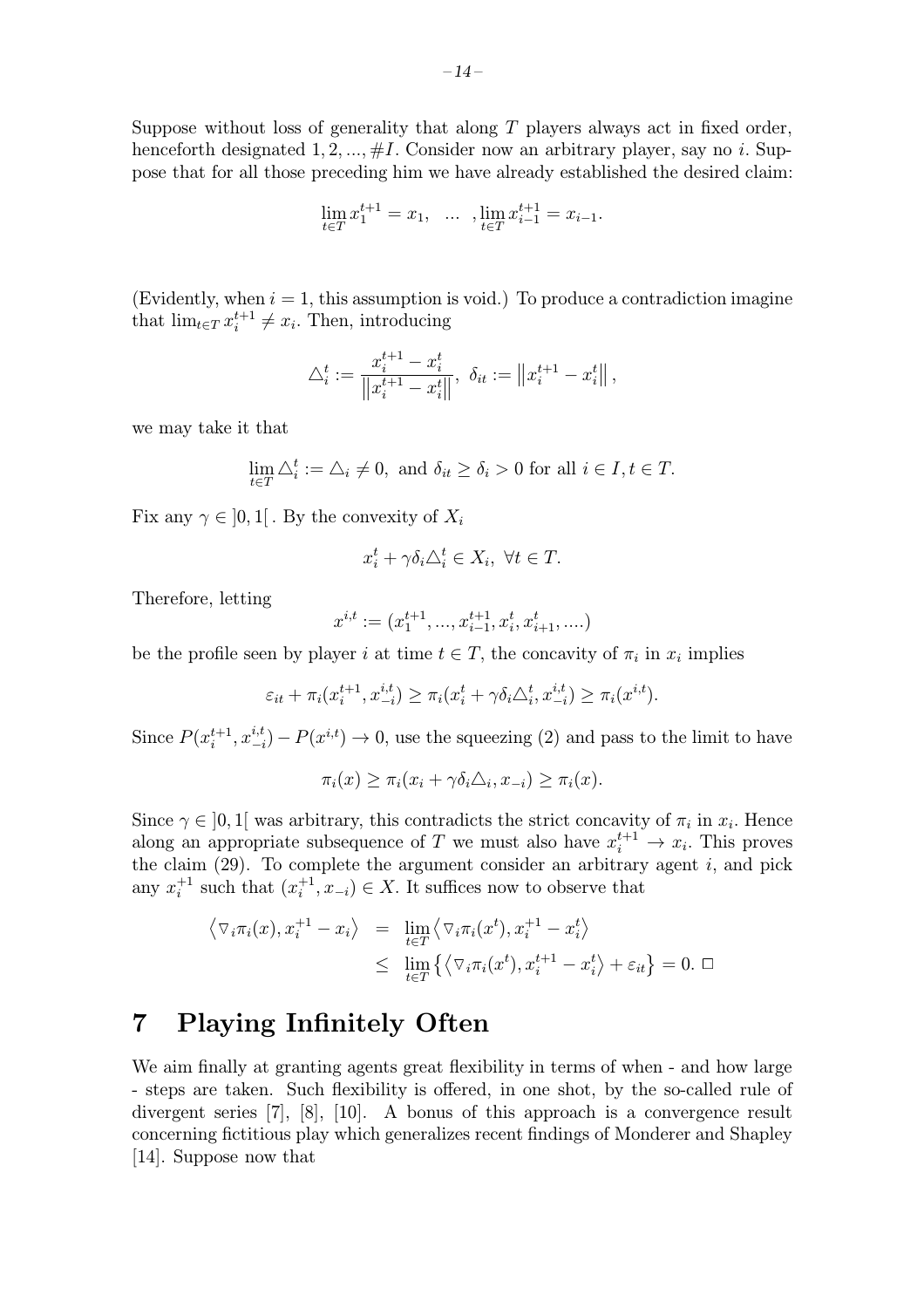$$
\lim_{t \in T} x_1^{t+1} = x_1, \quad \dots \quad , \lim_{t \in T} x_{i-1}^{t+1} = x_{i-1}.
$$

(Evidently, when  $i = 1$ , this assumption is void.) To produce a contradiction imagine that  $\lim_{t \in T} x_i^{t+1} \neq x_i$ . Then, introducing

$$
\triangle_i^t := \frac{x_i^{t+1} - x_i^t}{\left\|x_i^{t+1} - x_i^t\right\|}, \ \delta_{it} := \left\|x_i^{t+1} - x_i^t\right\|,
$$

we may take it that

$$
\lim_{t \in T} \Delta_i^t := \Delta_i \neq 0, \text{ and } \delta_{it} \geq \delta_i > 0 \text{ for all } i \in I, t \in T.
$$

Fix any  $\gamma \in [0,1]$ . By the convexity of  $X_i$ 

$$
x_i^t + \gamma \delta_i \triangle_i^t \in X_i, \ \forall t \in T.
$$

Therefore, letting

$$
x^{i,t}:=(x_1^{t+1},...,x_{i-1}^{t+1},x_i^t,x_{i+1}^t,...\cdot)
$$

be the profile seen by player i at time  $t \in T$ , the concavity of  $\pi_i$  in  $x_i$  implies

$$
\varepsilon_{it} + \pi_i(x_i^{t+1}, x_{-i}^{i,t}) \geq \pi_i(x_i^t + \gamma \delta_i \triangle_i^t, x_{-i}^{i,t}) \geq \pi_i(x^{i,t}).
$$

Since  $P(x_i^{t+1}, x_{-i}^{i,t}) - P(x_i^{i,t}) \to 0$ , use the squeezing (2) and pass to the limit to have

$$
\pi_i(x) \geq \pi_i(x_i + \gamma \delta_i \triangle_i, x_{-i}) \geq \pi_i(x).
$$

Since  $\gamma \in ]0,1[$  was arbitrary, this contradicts the strict concavity of  $\pi_i$  in  $x_i$ . Hence along an appropriate subsequence of T we must also have  $x_i^{t+1} \to x_i$ . This proves the claim  $(29)$ . To complete the argument consider an arbitrary agent i, and pick any  $x_i^{+1}$  such that  $(x_i^{+1}, x_{-i}) \in X$ . It suffices now to observe that

$$
\begin{array}{rcl}\n\left\langle \triangledown_{i}\pi_{i}(x), x_{i}^{+1} - x_{i} \right\rangle & = & \lim_{t \in T} \left\langle \triangledown_{i}\pi_{i}(x^{t}), x_{i}^{+1} - x_{i}^{t} \right\rangle \\
& \leq & \lim_{t \in T} \left\{ \left\langle \triangledown_{i}\pi_{i}(x^{t}), x_{i}^{t+1} - x_{i}^{t} \right\rangle + \varepsilon_{it} \right\} = 0. \ \ \Box\n\end{array}
$$

## 7 Playing Infinitely Often

We aim finally at granting agents great flexibility in terms of when - and how large - steps are taken. Such flexibility is offered, in one shot, by the so-called rule of divergent series [7], [8], [10]. A bonus of this approach is a convergence result concerning fictitious play which generalizes recent findings of Monderer and Shapley [14]. Suppose now that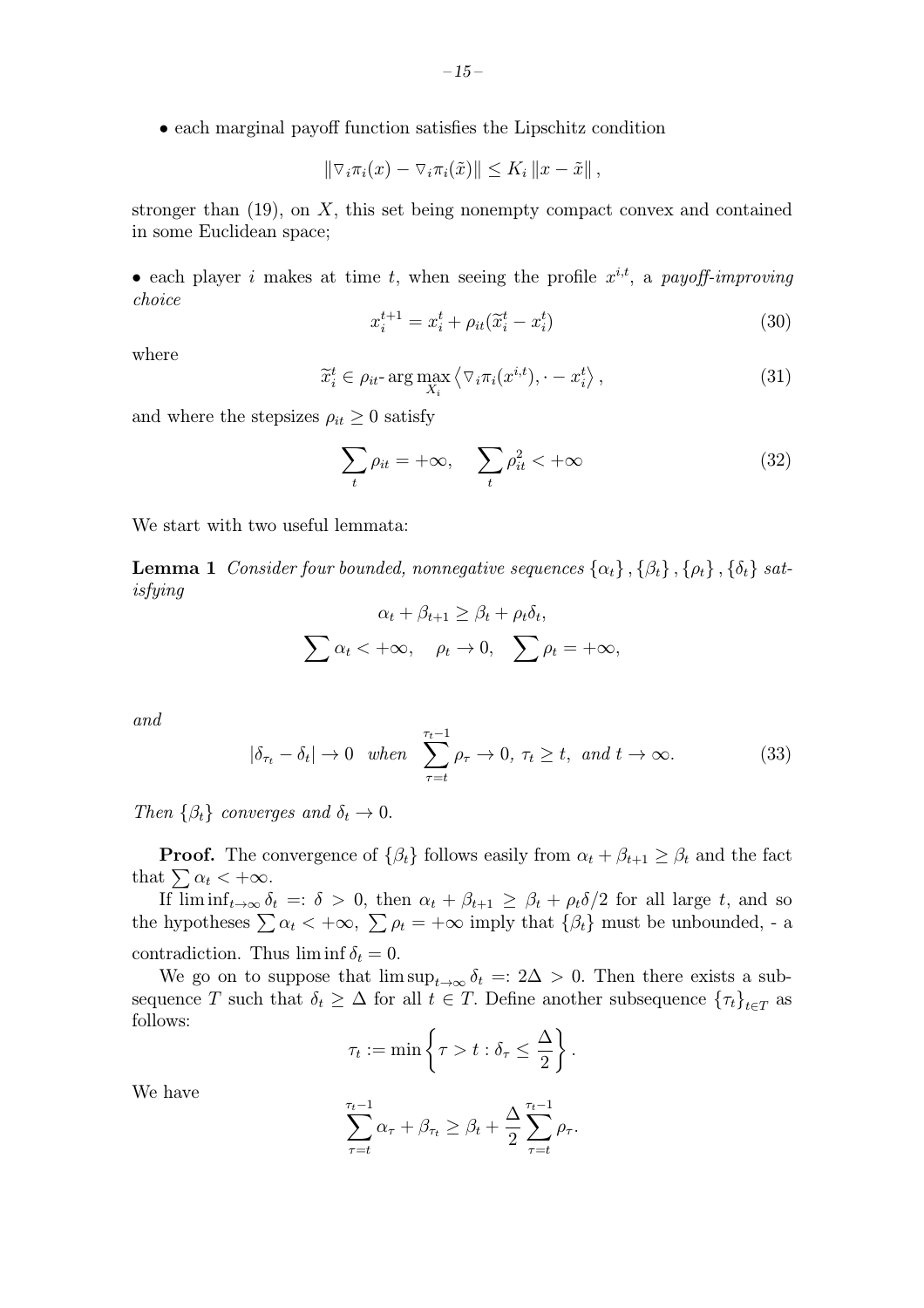• each marginal payoff function satisfies the Lipschitz condition

$$
\|\nabla_i \pi_i(x) - \nabla_i \pi_i(\tilde{x})\| \leq K_i \|x - \tilde{x}\|,
$$

stronger than  $(19)$ , on X, this set being nonempty compact convex and contained in some Euclidean space;

• each player i makes at time t, when seeing the profile  $x^{i,t}$ , a payoff-improving choice

$$
x_i^{t+1} = x_i^t + \rho_{it}(\tilde{x}_i^t - x_i^t) \tag{30}
$$

where

$$
\widetilde{x}_i^t \in \rho_{it} \text{-} \arg \max_{X_i} \left\langle \nabla_i \pi_i(x^{i,t}), \cdot - x_i^t \right\rangle,\tag{31}
$$

and where the stepsizes  $\rho_{it} \geq 0$  satisfy

$$
\sum_{t} \rho_{it} = +\infty, \quad \sum_{t} \rho_{it}^2 < +\infty \tag{32}
$$

We start with two useful lemmata:

**Lemma 1** Consider four bounded, nonnegative sequences  $\{\alpha_t\}$ ,  $\{\beta_t\}$ ,  $\{\rho_t\}$ ,  $\{\delta_t\}$  satisfying

$$
\alpha_t + \beta_{t+1} \ge \beta_t + \rho_t \delta_t,
$$
  

$$
\sum \alpha_t < +\infty, \quad \rho_t \to 0, \quad \sum \rho_t = +\infty,
$$

and

$$
|\delta_{\tau_t} - \delta_t| \to 0 \quad when \quad \sum_{\tau=t}^{\tau_t-1} \rho_{\tau} \to 0, \ \tau_t \ge t, \ \text{and} \ t \to \infty. \tag{33}
$$

Then  $\{\beta_t\}$  converges and  $\delta_t \to 0$ .

**Proof.** The convergence of  $\{\beta_t\}$  follows easily from  $\alpha_t + \beta_{t+1} \geq \beta_t$  and the fact that  $\sum \alpha_t < +\infty$ .

If  $\liminf_{t\to\infty} \delta_t =: \delta > 0$ , then  $\alpha_t + \beta_{t+1} \geq \beta_t + \rho_t \delta/2$  for all large t, and so the hypotheses  $\sum \alpha_t < +\infty$ ,  $\sum \rho_t = +\infty$  imply that  $\{\beta_t\}$  must be unbounded, - a contradiction. Thus  $\liminf \delta_t = 0$ .

We go on to suppose that  $\limsup_{t\to\infty} \delta_t = 2\Delta > 0$ . Then there exists a subsequence T such that  $\delta_t \geq \Delta$  for all  $t \in T$ . Define another subsequence  $\{\tau_t\}_{t \in T}$  as follows:

$$
\tau_t := \min \left\{ \tau > t : \delta_\tau \leq \frac{\Delta}{2} \right\}.
$$

We have

$$
\sum_{\tau=t}^{\tau_t-1} \alpha_{\tau} + \beta_{\tau_t} \geq \beta_t + \frac{\Delta}{2} \sum_{\tau=t}^{\tau_t-1} \rho_{\tau}.
$$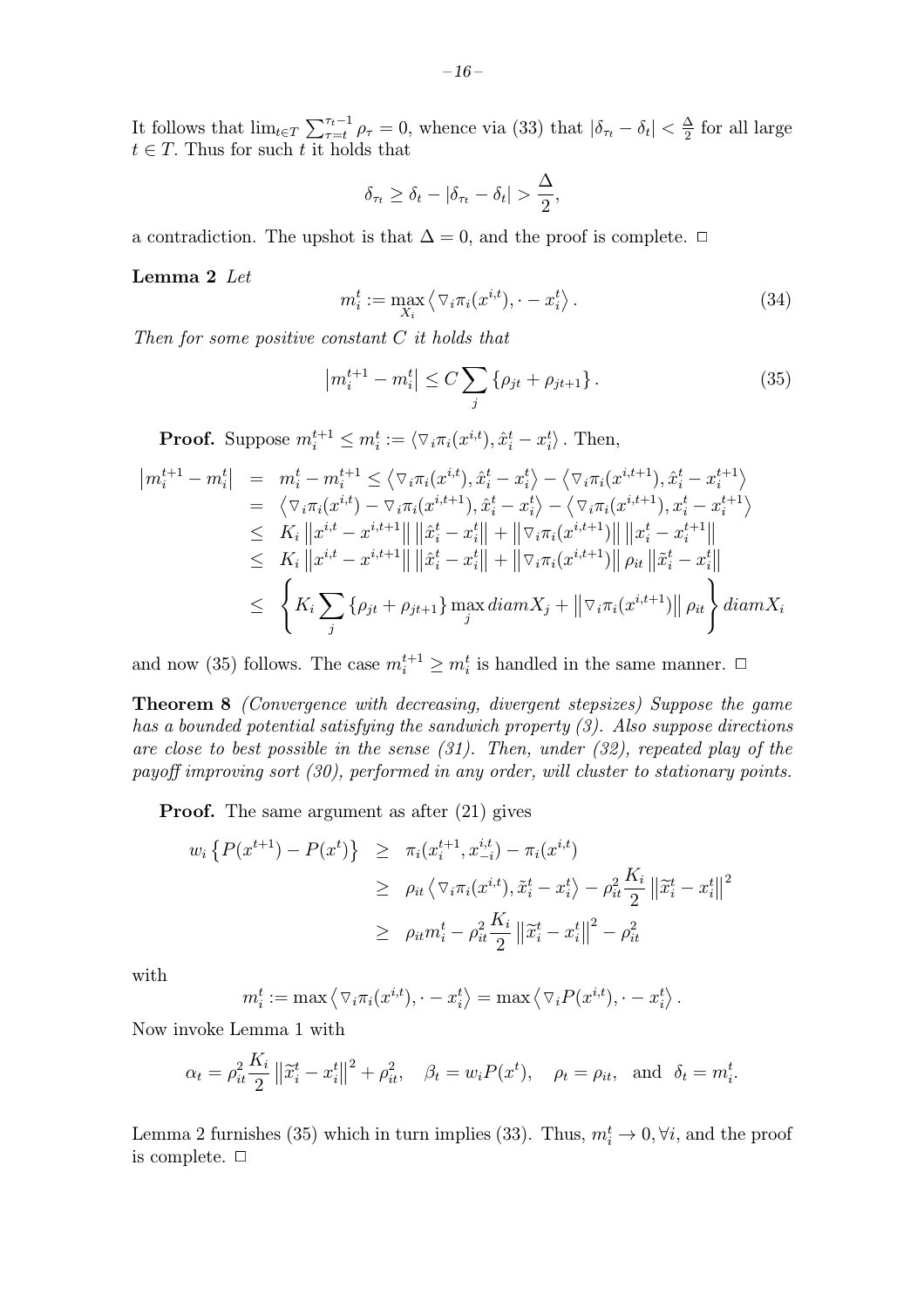It follows that  $\lim_{t \in T} \sum_{\tau=t}^{\tau_t-1} \rho_{\tau} = 0$ , whence via (33) that  $|\delta_{\tau_t} - \delta_t| < \frac{\Delta}{2}$  for all large  $t \in T$ . Thus for such t it holds that

$$
\delta_{\tau_t} \ge \delta_t - |\delta_{\tau_t} - \delta_t| > \frac{\Delta}{2},
$$

a contradiction. The upshot is that  $\Delta = 0$ , and the proof is complete.  $\Box$ 

#### Lemma 2 Let

$$
m_i^t := \max_{X_i} \left\langle \nabla_i \pi_i(x^{i,t}), \cdot - x_i^t \right\rangle. \tag{34}
$$

Then for some positive constant  $C$  it holds that

$$
\left| m_i^{t+1} - m_i^t \right| \le C \sum_j \left\{ \rho_{jt} + \rho_{jt+1} \right\}.
$$
 (35)

**Proof.** Suppose  $m_i^{t+1} \leq m_i^t := \langle \nabla_i \pi_i(x^{i,t}), \hat{x}_i^t - x_i^t \rangle$ . Then,

$$
\begin{aligned}\n|m_i^{t+1} - m_i^t| &= m_i^t - m_i^{t+1} \le \langle \nabla_i \pi_i(x^{i,t}), \hat{x}_i^t - x_i^t \rangle - \langle \nabla_i \pi_i(x^{i,t+1}), \hat{x}_i^t - x_i^{t+1} \rangle \\
&= \langle \nabla_i \pi_i(x^{i,t}) - \nabla_i \pi_i(x^{i,t+1}), \hat{x}_i^t - x_i^t \rangle - \langle \nabla_i \pi_i(x^{i,t+1}), x_i^t - x_i^{t+1} \rangle \\
&\le K_i \|x^{i,t} - x^{i,t+1}\| \|\hat{x}_i^t - x_i^t\| + \|\nabla_i \pi_i(x^{i,t+1})\| \|x_i^t - x_i^{t+1}\| \\
&\le K_i \|x^{i,t} - x^{i,t+1}\| \|\hat{x}_i^t - x_i^t\| + \|\nabla_i \pi_i(x^{i,t+1})\| \rho_{it} \|\tilde{x}_i^t - x_i^t\| \\
&\le \left\{ K_i \sum_j \{\rho_{jt} + \rho_{jt+1}\} \max_i diam X_j + \|\nabla_i \pi_i(x^{i,t+1})\| \rho_{it} \right\} diam X_i\n\end{aligned}
$$

and now (35) follows. The case  $m_i^{t+1} \geq m_i^t$  is handled in the same manner.  $\Box$ 

Theorem 8 (Convergence with decreasing, divergent stepsizes) Suppose the game has a bounded potential satisfying the sandwich property (3). Also suppose directions are close to best possible in the sense (31). Then, under (32), repeated play of the payoff improving sort (30), performed in any order, will cluster to stationary points.

Proof. The same argument as after (21) gives

$$
w_i \left\{ P(x^{t+1}) - P(x^t) \right\} \geq \pi_i(x_i^{t+1}, x_{-i}^{i,t}) - \pi_i(x^{i,t})
$$
  
\n
$$
\geq \rho_{it} \left\langle \nabla_i \pi_i(x^{i,t}), \tilde{x}_i^t - x_i^t \right\rangle - \rho_{it}^2 \frac{K_i}{2} ||\tilde{x}_i^t - x_i^t||^2
$$
  
\n
$$
\geq \rho_{it} m_i^t - \rho_{it}^2 \frac{K_i}{2} ||\tilde{x}_i^t - x_i^t||^2 - \rho_{it}^2
$$

with

$$
m_i^t := \max \left\langle \nabla_i \pi_i(x^{i,t}), \cdot - x_i^t \right\rangle = \max \left\langle \nabla_i P(x^{i,t}), \cdot - x_i^t \right\rangle.
$$

Now invoke Lemma 1 with

$$
\alpha_t = \rho_{it}^2 \frac{K_i}{2} \left\| \widetilde{x}_i^t - x_i^t \right\|^2 + \rho_{it}^2, \quad \beta_t = w_i P(x^t), \quad \rho_t = \rho_{it}, \text{ and } \delta_t = m_i^t.
$$

Lemma 2 furnishes (35) which in turn implies (33). Thus,  $m_i^t \to 0, \forall i$ , and the proof is complete.  $\square$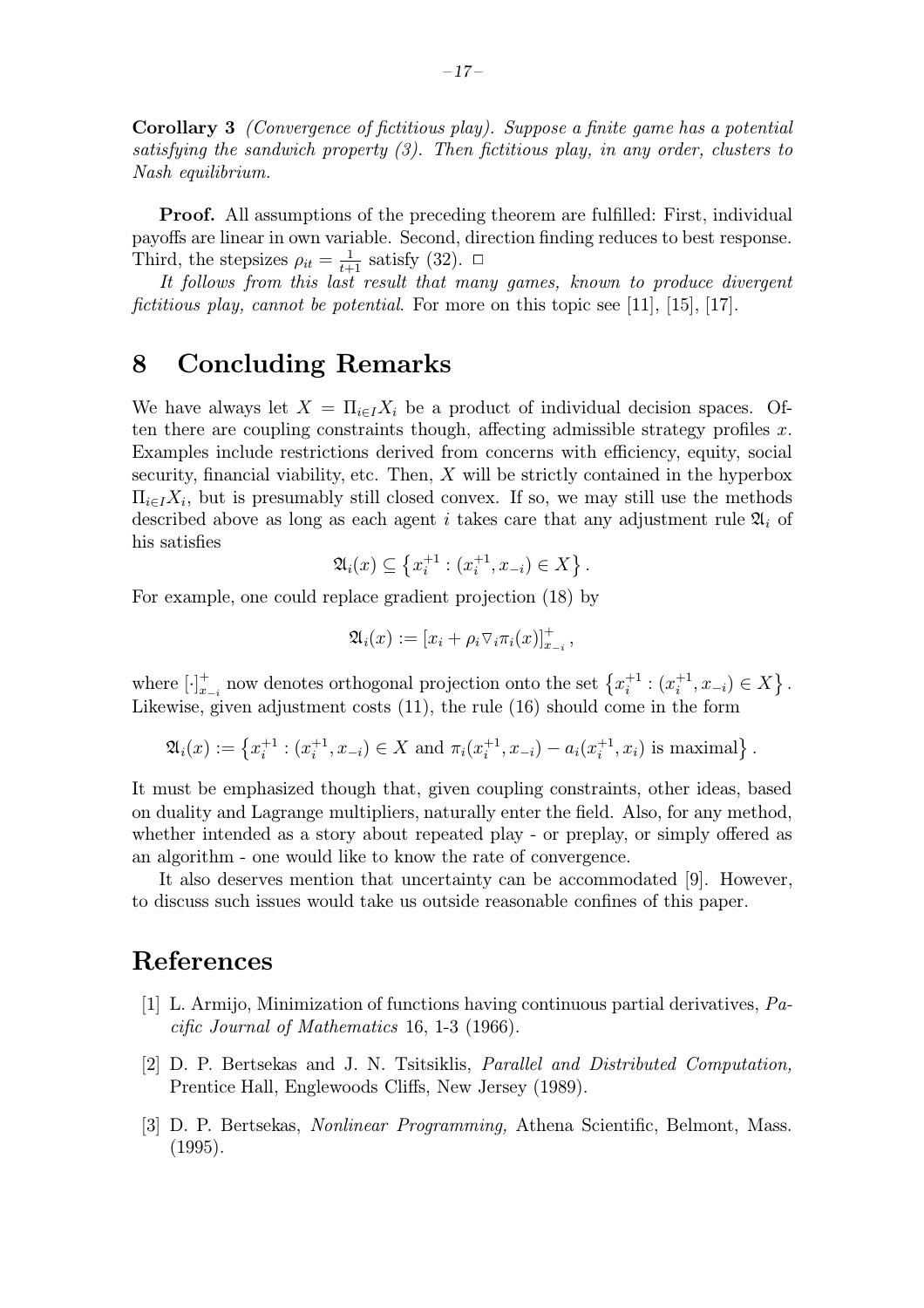Corollary 3 (Convergence of fictitious play). Suppose a finite game has a potential satisfying the sandwich property  $(3)$ . Then fictitious play, in any order, clusters to Nash equilibrium.

Proof. All assumptions of the preceding theorem are fulfilled: First, individual payoffs are linear in own variable. Second, direction finding reduces to best response. Third, the stepsizes  $\rho_{it} = \frac{1}{t+1}$  satisfy (32).  $\Box$ 

It follows from this last result that many games, known to produce divergent fictitious play, cannot be potential. For more on this topic see [11], [15], [17].

## 8 Concluding Remarks

We have always let  $X = \prod_{i \in I} X_i$  be a product of individual decision spaces. Often there are coupling constraints though, affecting admissible strategy profiles x. Examples include restrictions derived from concerns with efficiency, equity, social security, financial viability, etc. Then,  $X$  will be strictly contained in the hyperbox  $\Pi_{i\in I}X_i$ , but is presumably still closed convex. If so, we may still use the methods described above as long as each agent i takes care that any adjustment rule  $\mathfrak{A}_i$  of his satisfies

$$
\mathfrak{A}_i(x) \subseteq \left\{ x_i^{+1} : (x_i^{+1}, x_{-i}) \in X \right\}.
$$

For example, one could replace gradient projection (18) by

$$
\mathfrak{A}_i(x) := [x_i + \rho_i \nabla_i \pi_i(x)]_{x_{-i}}^+,
$$

where  $\left[\cdot\right]_{x_{-i}}^{+}$  now denotes orthogonal projection onto the set  $\left\{x_i^{+1} : (x_i^{+1}, x_{-i}) \in X\right\}$ . Likewise, given adjustment costs (11), the rule (16) should come in the form

$$
\mathfrak{A}_i(x) := \left\{ x_i^{+1} : (x_i^{+1}, x_{-i}) \in X \text{ and } \pi_i(x_i^{+1}, x_{-i}) - a_i(x_i^{+1}, x_i) \text{ is maximal} \right\}.
$$

It must be emphasized though that, given coupling constraints, other ideas, based on duality and Lagrange multipliers, naturally enter the field. Also, for any method, whether intended as a story about repeated play - or preplay, or simply offered as an algorithm - one would like to know the rate of convergence.

It also deserves mention that uncertainty can be accommodated [9]. However, to discuss such issues would take us outside reasonable confines of this paper.

## References

- [1] L. Armijo, Minimization of functions having continuous partial derivatives, Pacific Journal of Mathematics 16, 1-3 (1966).
- [2] D. P. Bertsekas and J. N. Tsitsiklis, Parallel and Distributed Computation, Prentice Hall, Englewoods Cliffs, New Jersey (1989).
- [3] D. P. Bertsekas, Nonlinear Programming, Athena Scientific, Belmont, Mass. (1995).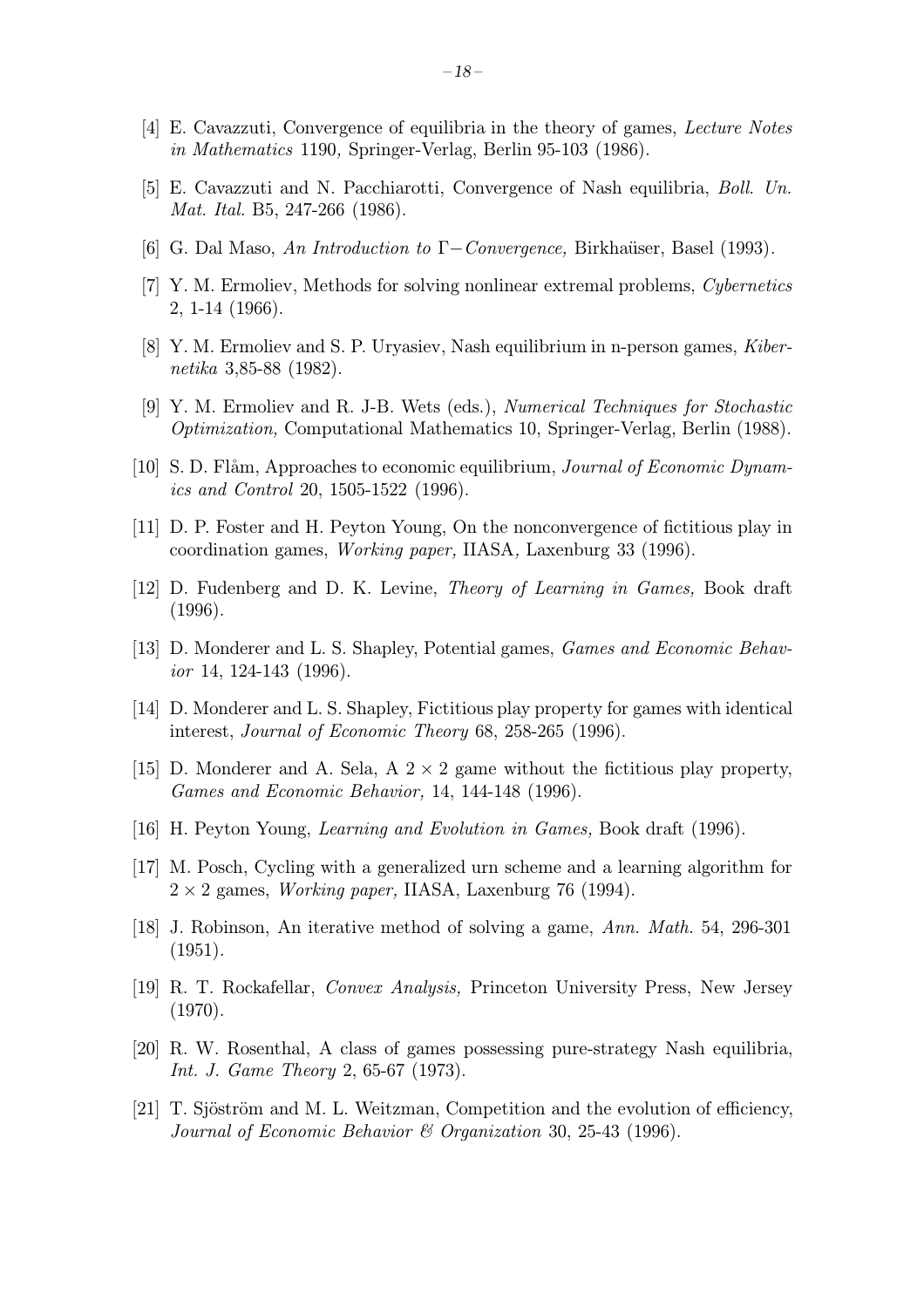- [4] E. Cavazzuti, Convergence of equilibria in the theory of games, Lecture Notes in Mathematics 1190, Springer-Verlag, Berlin 95-103 (1986).
- [5] E. Cavazzuti and N. Pacchiarotti, Convergence of Nash equilibria, Boll. Un. Mat. Ital. B5, 247-266 (1986).
- [6] G. Dal Maso, An Introduction to  $\Gamma$ − Convergence, Birkhaüser, Basel (1993).
- [7] Y. M. Ermoliev, Methods for solving nonlinear extremal problems, Cybernetics 2, 1-14 (1966).
- [8] Y. M. Ermoliev and S. P. Uryasiev, Nash equilibrium in n-person games, Kibernetika 3,85-88 (1982).
- [9] Y. M. Ermoliev and R. J-B. Wets (eds.), Numerical Techniques for Stochastic Optimization, Computational Mathematics 10, Springer-Verlag, Berlin (1988).
- [10] S. D. Flåm, Approaches to economic equilibrium, *Journal of Economic Dynam*ics and Control 20, 1505-1522 (1996).
- [11] D. P. Foster and H. Peyton Young, On the nonconvergence of fictitious play in coordination games, Working paper, IIASA, Laxenburg 33 (1996).
- [12] D. Fudenberg and D. K. Levine, Theory of Learning in Games, Book draft (1996).
- [13] D. Monderer and L. S. Shapley, Potential games, Games and Economic Behavior 14, 124-143 (1996).
- [14] D. Monderer and L. S. Shapley, Fictitious play property for games with identical interest, Journal of Economic Theory 68, 258-265 (1996).
- [15] D. Monderer and A. Sela, A  $2 \times 2$  game without the fictitious play property, Games and Economic Behavior, 14, 144-148 (1996).
- [16] H. Peyton Young, Learning and Evolution in Games, Book draft (1996).
- [17] M. Posch, Cycling with a generalized urn scheme and a learning algorithm for  $2 \times 2$  games, *Working paper*, IIASA, Laxenburg 76 (1994).
- [18] J. Robinson, An iterative method of solving a game, Ann. Math. 54, 296-301 (1951).
- [19] R. T. Rockafellar, Convex Analysis, Princeton University Press, New Jersey (1970).
- [20] R. W. Rosenthal, A class of games possessing pure-strategy Nash equilibria, Int. J. Game Theory 2, 65-67 (1973).
- [21] T. Sjöström and M. L. Weitzman, Competition and the evolution of efficiency, Journal of Economic Behavior & Organization 30, 25-43 (1996).